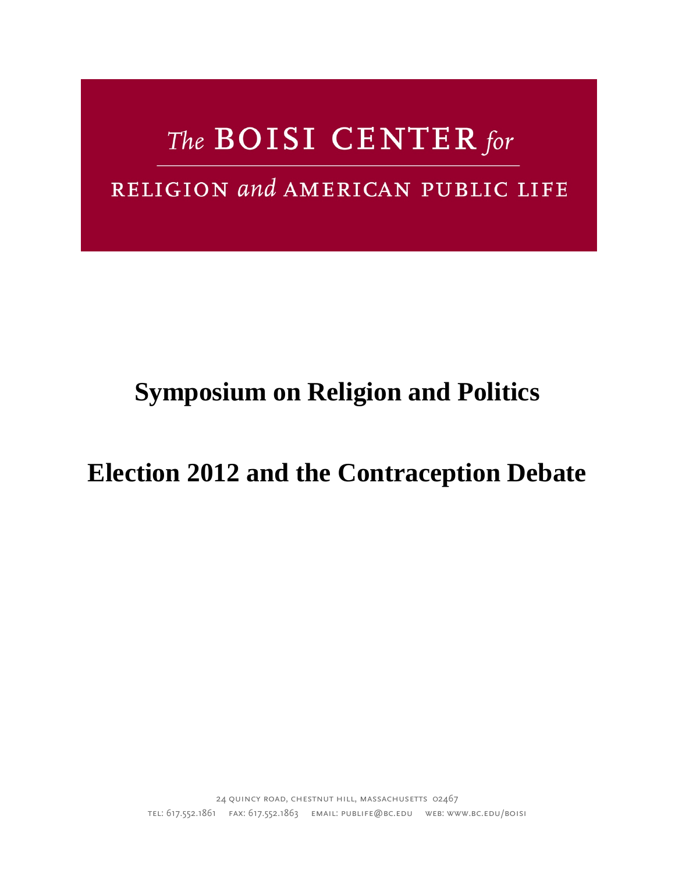# The BOISI CENTER for

RELIGION and AMERICAN PUBLIC LIFE

## **Symposium on Religion and Politics**

**Election 2012 and the Contraception Debate**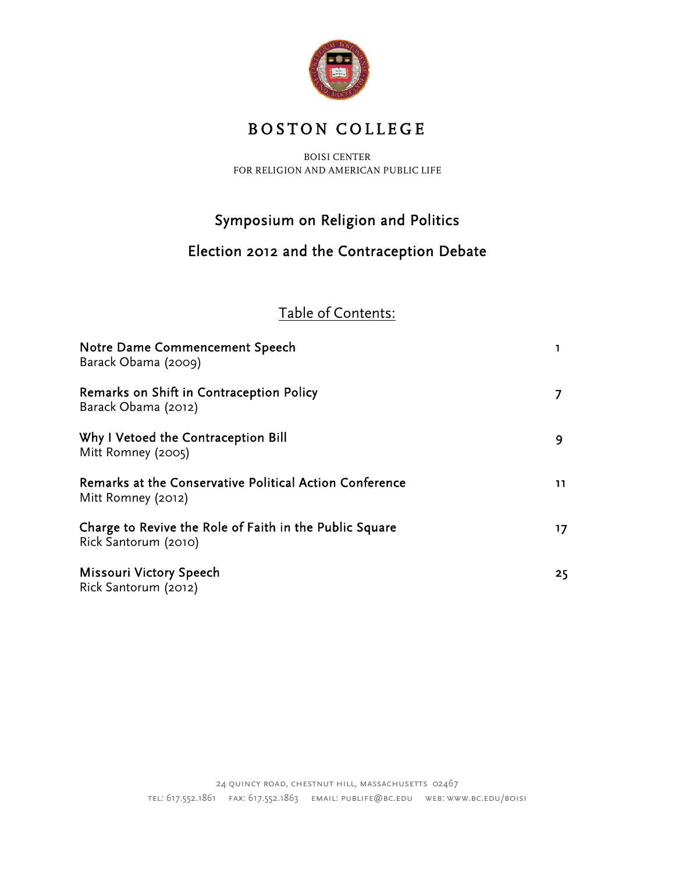

## BOSTON COLLEGE

BOISI CENTER FOR RELIGION AND AMERICAN PUBLIC LIFE

## Symposium on Religion and Politics

## Election 2012 and the Contraception Debate

### Table of Contents:

| Notre Dame Commencement Speech<br>Barack Obama (2009)                           |    |
|---------------------------------------------------------------------------------|----|
| Remarks on Shift in Contraception Policy<br>Barack Obama (2012)                 |    |
| Why I Vetoed the Contraception Bill<br>Mitt Romney (2005)                       | 9  |
| Remarks at the Conservative Political Action Conference<br>Mitt Romney (2012)   | 11 |
| Charge to Revive the Role of Faith in the Public Square<br>Rick Santorum (2010) | 17 |
| <b>Missouri Victory Speech</b><br>Rick Santorum (2012)                          | 25 |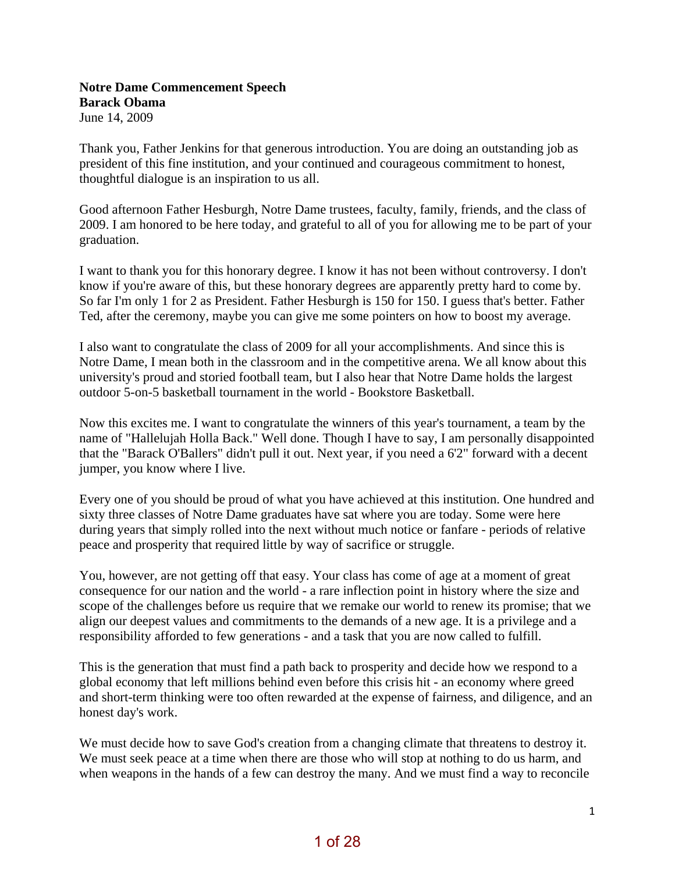#### **Notre Dame Commencement Speech Barack Obama**  June 14, 2009

Thank you, Father Jenkins for that generous introduction. You are doing an outstanding job as president of this fine institution, and your continued and courageous commitment to honest, thoughtful dialogue is an inspiration to us all.

Good afternoon Father Hesburgh, Notre Dame trustees, faculty, family, friends, and the class of 2009. I am honored to be here today, and grateful to all of you for allowing me to be part of your graduation.

I want to thank you for this honorary degree. I know it has not been without controversy. I don't know if you're aware of this, but these honorary degrees are apparently pretty hard to come by. So far I'm only 1 for 2 as President. Father Hesburgh is 150 for 150. I guess that's better. Father Ted, after the ceremony, maybe you can give me some pointers on how to boost my average.

I also want to congratulate the class of 2009 for all your accomplishments. And since this is Notre Dame, I mean both in the classroom and in the competitive arena. We all know about this university's proud and storied football team, but I also hear that Notre Dame holds the largest outdoor 5-on-5 basketball tournament in the world - Bookstore Basketball.

Now this excites me. I want to congratulate the winners of this year's tournament, a team by the name of "Hallelujah Holla Back." Well done. Though I have to say, I am personally disappointed that the "Barack O'Ballers" didn't pull it out. Next year, if you need a 6'2" forward with a decent jumper, you know where I live.

Every one of you should be proud of what you have achieved at this institution. One hundred and sixty three classes of Notre Dame graduates have sat where you are today. Some were here during years that simply rolled into the next without much notice or fanfare - periods of relative peace and prosperity that required little by way of sacrifice or struggle.

You, however, are not getting off that easy. Your class has come of age at a moment of great consequence for our nation and the world - a rare inflection point in history where the size and scope of the challenges before us require that we remake our world to renew its promise; that we align our deepest values and commitments to the demands of a new age. It is a privilege and a responsibility afforded to few generations - and a task that you are now called to fulfill.

This is the generation that must find a path back to prosperity and decide how we respond to a global economy that left millions behind even before this crisis hit - an economy where greed and short-term thinking were too often rewarded at the expense of fairness, and diligence, and an honest day's work.

We must decide how to save God's creation from a changing climate that threatens to destroy it. We must seek peace at a time when there are those who will stop at nothing to do us harm, and when weapons in the hands of a few can destroy the many. And we must find a way to reconcile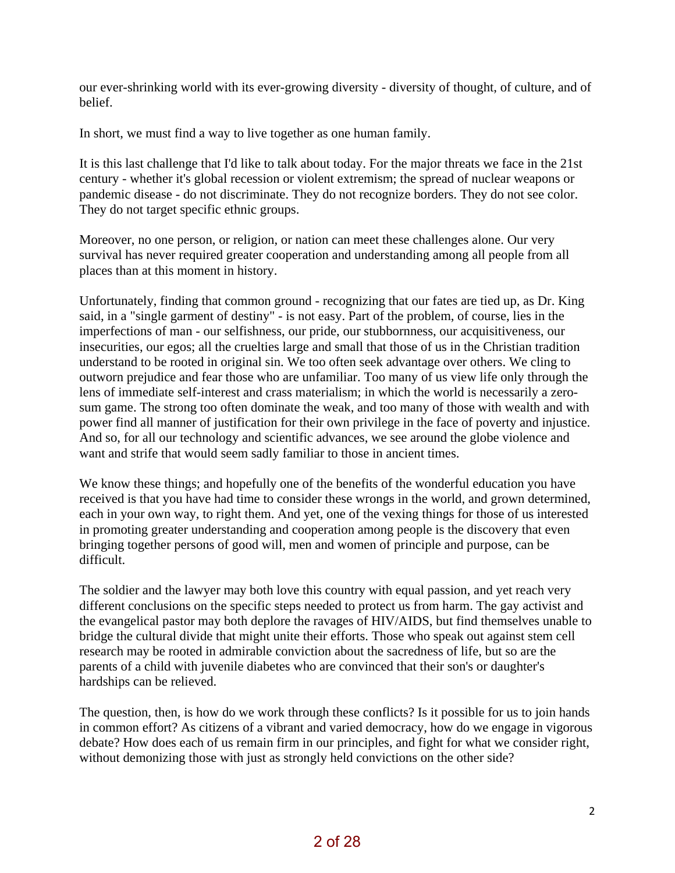our ever-shrinking world with its ever-growing diversity - diversity of thought, of culture, and of belief.

In short, we must find a way to live together as one human family.

It is this last challenge that I'd like to talk about today. For the major threats we face in the 21st century - whether it's global recession or violent extremism; the spread of nuclear weapons or pandemic disease - do not discriminate. They do not recognize borders. They do not see color. They do not target specific ethnic groups.

Moreover, no one person, or religion, or nation can meet these challenges alone. Our very survival has never required greater cooperation and understanding among all people from all places than at this moment in history.

Unfortunately, finding that common ground - recognizing that our fates are tied up, as Dr. King said, in a "single garment of destiny" - is not easy. Part of the problem, of course, lies in the imperfections of man - our selfishness, our pride, our stubbornness, our acquisitiveness, our insecurities, our egos; all the cruelties large and small that those of us in the Christian tradition understand to be rooted in original sin. We too often seek advantage over others. We cling to outworn prejudice and fear those who are unfamiliar. Too many of us view life only through the lens of immediate self-interest and crass materialism; in which the world is necessarily a zerosum game. The strong too often dominate the weak, and too many of those with wealth and with power find all manner of justification for their own privilege in the face of poverty and injustice. And so, for all our technology and scientific advances, we see around the globe violence and want and strife that would seem sadly familiar to those in ancient times.

We know these things; and hopefully one of the benefits of the wonderful education you have received is that you have had time to consider these wrongs in the world, and grown determined, each in your own way, to right them. And yet, one of the vexing things for those of us interested in promoting greater understanding and cooperation among people is the discovery that even bringing together persons of good will, men and women of principle and purpose, can be difficult.

The soldier and the lawyer may both love this country with equal passion, and yet reach very different conclusions on the specific steps needed to protect us from harm. The gay activist and the evangelical pastor may both deplore the ravages of HIV/AIDS, but find themselves unable to bridge the cultural divide that might unite their efforts. Those who speak out against stem cell research may be rooted in admirable conviction about the sacredness of life, but so are the parents of a child with juvenile diabetes who are convinced that their son's or daughter's hardships can be relieved.

The question, then, is how do we work through these conflicts? Is it possible for us to join hands in common effort? As citizens of a vibrant and varied democracy, how do we engage in vigorous debate? How does each of us remain firm in our principles, and fight for what we consider right, without demonizing those with just as strongly held convictions on the other side?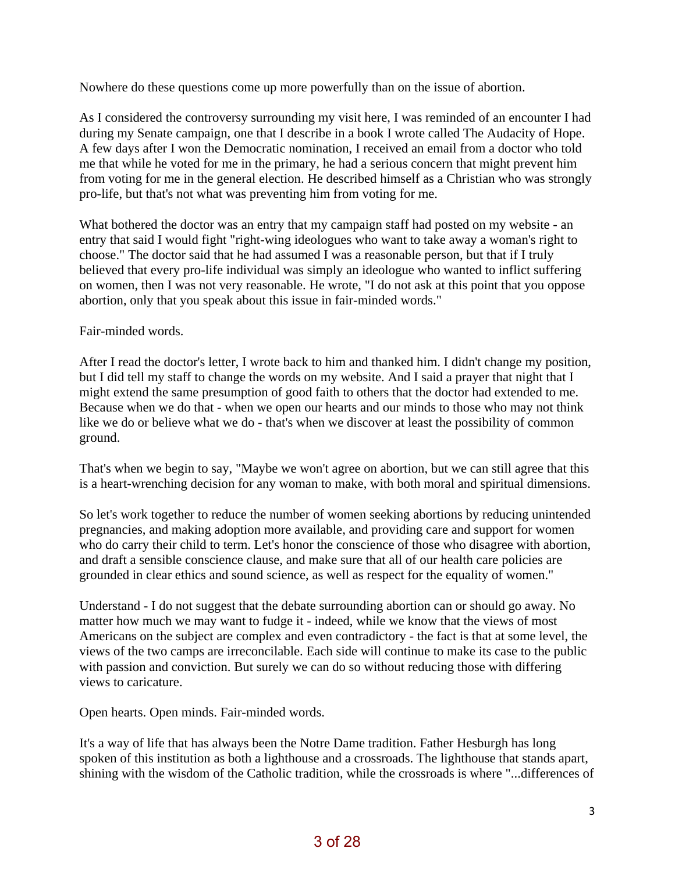Nowhere do these questions come up more powerfully than on the issue of abortion.

As I considered the controversy surrounding my visit here, I was reminded of an encounter I had during my Senate campaign, one that I describe in a book I wrote called The Audacity of Hope. A few days after I won the Democratic nomination, I received an email from a doctor who told me that while he voted for me in the primary, he had a serious concern that might prevent him from voting for me in the general election. He described himself as a Christian who was strongly pro-life, but that's not what was preventing him from voting for me.

What bothered the doctor was an entry that my campaign staff had posted on my website - an entry that said I would fight "right-wing ideologues who want to take away a woman's right to choose." The doctor said that he had assumed I was a reasonable person, but that if I truly believed that every pro-life individual was simply an ideologue who wanted to inflict suffering on women, then I was not very reasonable. He wrote, "I do not ask at this point that you oppose abortion, only that you speak about this issue in fair-minded words."

Fair-minded words.

After I read the doctor's letter, I wrote back to him and thanked him. I didn't change my position, but I did tell my staff to change the words on my website. And I said a prayer that night that I might extend the same presumption of good faith to others that the doctor had extended to me. Because when we do that - when we open our hearts and our minds to those who may not think like we do or believe what we do - that's when we discover at least the possibility of common ground.

That's when we begin to say, "Maybe we won't agree on abortion, but we can still agree that this is a heart-wrenching decision for any woman to make, with both moral and spiritual dimensions.

So let's work together to reduce the number of women seeking abortions by reducing unintended pregnancies, and making adoption more available, and providing care and support for women who do carry their child to term. Let's honor the conscience of those who disagree with abortion, and draft a sensible conscience clause, and make sure that all of our health care policies are grounded in clear ethics and sound science, as well as respect for the equality of women."

Understand - I do not suggest that the debate surrounding abortion can or should go away. No matter how much we may want to fudge it - indeed, while we know that the views of most Americans on the subject are complex and even contradictory - the fact is that at some level, the views of the two camps are irreconcilable. Each side will continue to make its case to the public with passion and conviction. But surely we can do so without reducing those with differing views to caricature.

Open hearts. Open minds. Fair-minded words.

It's a way of life that has always been the Notre Dame tradition. Father Hesburgh has long spoken of this institution as both a lighthouse and a crossroads. The lighthouse that stands apart, shining with the wisdom of the Catholic tradition, while the crossroads is where "...differences of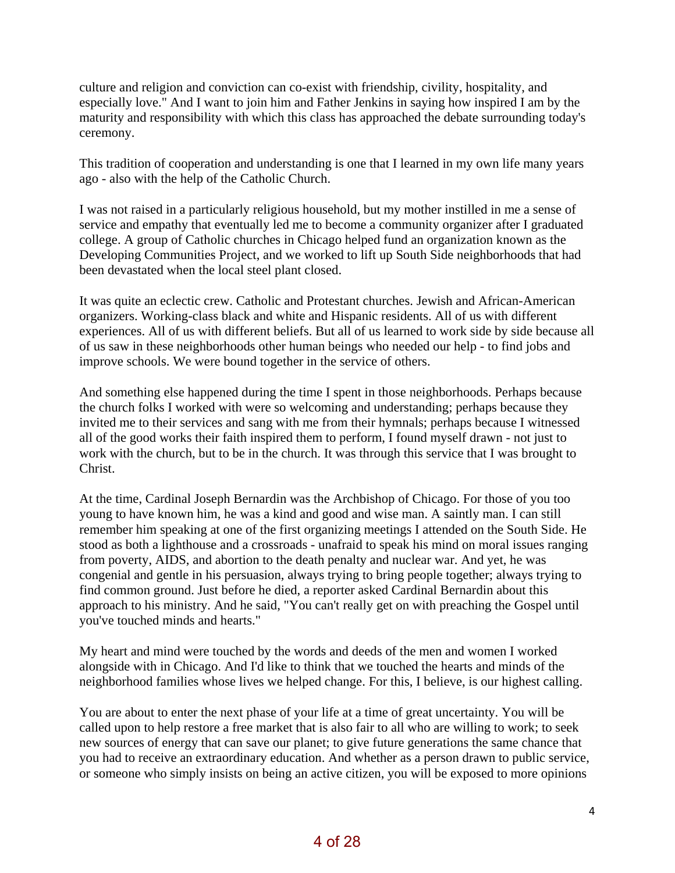culture and religion and conviction can co-exist with friendship, civility, hospitality, and especially love." And I want to join him and Father Jenkins in saying how inspired I am by the maturity and responsibility with which this class has approached the debate surrounding today's ceremony.

This tradition of cooperation and understanding is one that I learned in my own life many years ago - also with the help of the Catholic Church.

I was not raised in a particularly religious household, but my mother instilled in me a sense of service and empathy that eventually led me to become a community organizer after I graduated college. A group of Catholic churches in Chicago helped fund an organization known as the Developing Communities Project, and we worked to lift up South Side neighborhoods that had been devastated when the local steel plant closed.

It was quite an eclectic crew. Catholic and Protestant churches. Jewish and African-American organizers. Working-class black and white and Hispanic residents. All of us with different experiences. All of us with different beliefs. But all of us learned to work side by side because all of us saw in these neighborhoods other human beings who needed our help - to find jobs and improve schools. We were bound together in the service of others.

And something else happened during the time I spent in those neighborhoods. Perhaps because the church folks I worked with were so welcoming and understanding; perhaps because they invited me to their services and sang with me from their hymnals; perhaps because I witnessed all of the good works their faith inspired them to perform, I found myself drawn - not just to work with the church, but to be in the church. It was through this service that I was brought to Christ.

At the time, Cardinal Joseph Bernardin was the Archbishop of Chicago. For those of you too young to have known him, he was a kind and good and wise man. A saintly man. I can still remember him speaking at one of the first organizing meetings I attended on the South Side. He stood as both a lighthouse and a crossroads - unafraid to speak his mind on moral issues ranging from poverty, AIDS, and abortion to the death penalty and nuclear war. And yet, he was congenial and gentle in his persuasion, always trying to bring people together; always trying to find common ground. Just before he died, a reporter asked Cardinal Bernardin about this approach to his ministry. And he said, "You can't really get on with preaching the Gospel until you've touched minds and hearts."

My heart and mind were touched by the words and deeds of the men and women I worked alongside with in Chicago. And I'd like to think that we touched the hearts and minds of the neighborhood families whose lives we helped change. For this, I believe, is our highest calling.

You are about to enter the next phase of your life at a time of great uncertainty. You will be called upon to help restore a free market that is also fair to all who are willing to work; to seek new sources of energy that can save our planet; to give future generations the same chance that you had to receive an extraordinary education. And whether as a person drawn to public service, or someone who simply insists on being an active citizen, you will be exposed to more opinions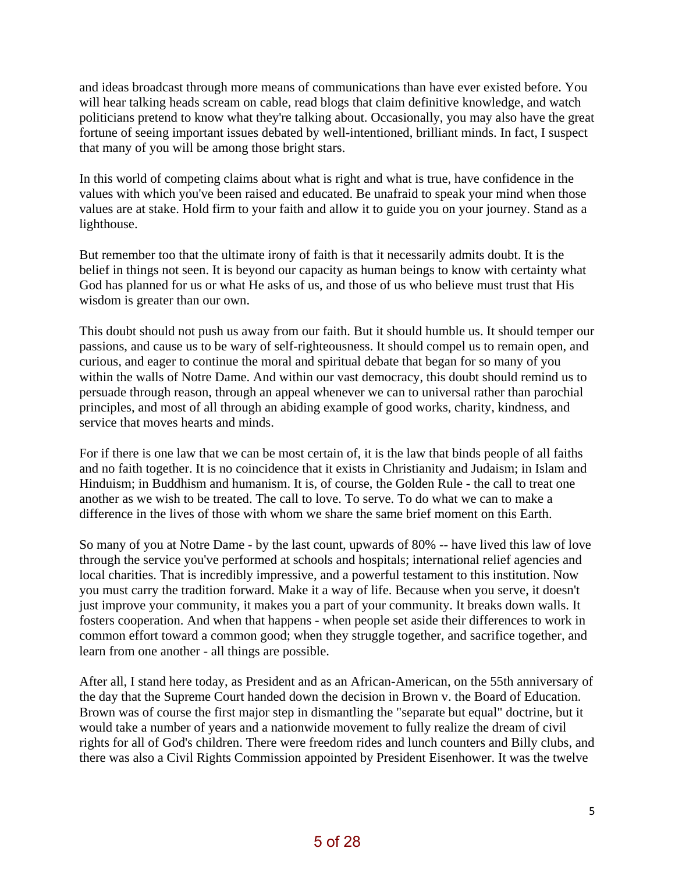and ideas broadcast through more means of communications than have ever existed before. You will hear talking heads scream on cable, read blogs that claim definitive knowledge, and watch politicians pretend to know what they're talking about. Occasionally, you may also have the great fortune of seeing important issues debated by well-intentioned, brilliant minds. In fact, I suspect that many of you will be among those bright stars.

In this world of competing claims about what is right and what is true, have confidence in the values with which you've been raised and educated. Be unafraid to speak your mind when those values are at stake. Hold firm to your faith and allow it to guide you on your journey. Stand as a lighthouse.

But remember too that the ultimate irony of faith is that it necessarily admits doubt. It is the belief in things not seen. It is beyond our capacity as human beings to know with certainty what God has planned for us or what He asks of us, and those of us who believe must trust that His wisdom is greater than our own.

This doubt should not push us away from our faith. But it should humble us. It should temper our passions, and cause us to be wary of self-righteousness. It should compel us to remain open, and curious, and eager to continue the moral and spiritual debate that began for so many of you within the walls of Notre Dame. And within our vast democracy, this doubt should remind us to persuade through reason, through an appeal whenever we can to universal rather than parochial principles, and most of all through an abiding example of good works, charity, kindness, and service that moves hearts and minds.

For if there is one law that we can be most certain of, it is the law that binds people of all faiths and no faith together. It is no coincidence that it exists in Christianity and Judaism; in Islam and Hinduism; in Buddhism and humanism. It is, of course, the Golden Rule - the call to treat one another as we wish to be treated. The call to love. To serve. To do what we can to make a difference in the lives of those with whom we share the same brief moment on this Earth.

So many of you at Notre Dame - by the last count, upwards of 80% -- have lived this law of love through the service you've performed at schools and hospitals; international relief agencies and local charities. That is incredibly impressive, and a powerful testament to this institution. Now you must carry the tradition forward. Make it a way of life. Because when you serve, it doesn't just improve your community, it makes you a part of your community. It breaks down walls. It fosters cooperation. And when that happens - when people set aside their differences to work in common effort toward a common good; when they struggle together, and sacrifice together, and learn from one another - all things are possible.

After all, I stand here today, as President and as an African-American, on the 55th anniversary of the day that the Supreme Court handed down the decision in Brown v. the Board of Education. Brown was of course the first major step in dismantling the "separate but equal" doctrine, but it would take a number of years and a nationwide movement to fully realize the dream of civil rights for all of God's children. There were freedom rides and lunch counters and Billy clubs, and there was also a Civil Rights Commission appointed by President Eisenhower. It was the twelve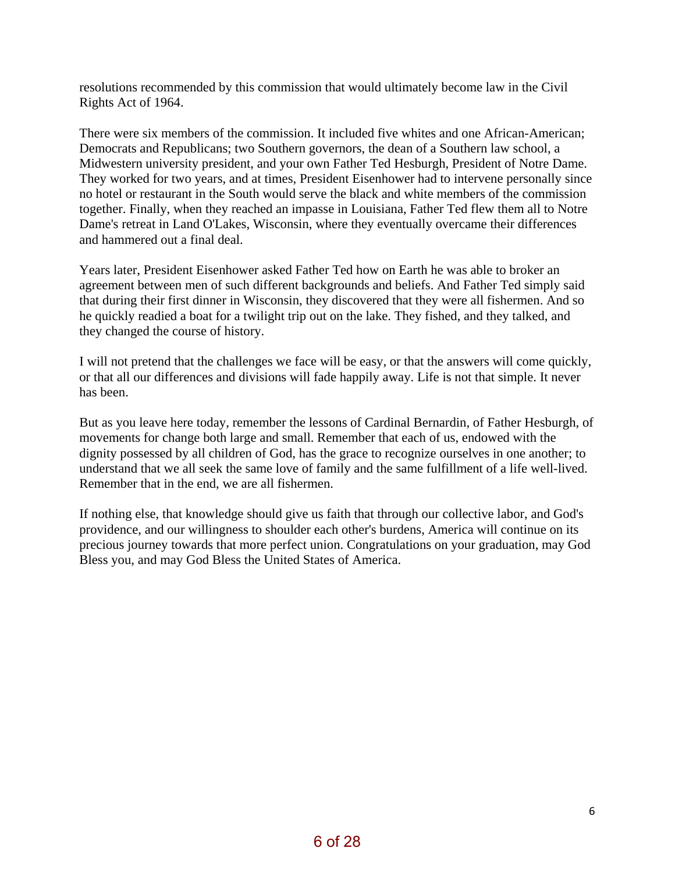resolutions recommended by this commission that would ultimately become law in the Civil Rights Act of 1964.

There were six members of the commission. It included five whites and one African-American; Democrats and Republicans; two Southern governors, the dean of a Southern law school, a Midwestern university president, and your own Father Ted Hesburgh, President of Notre Dame. They worked for two years, and at times, President Eisenhower had to intervene personally since no hotel or restaurant in the South would serve the black and white members of the commission together. Finally, when they reached an impasse in Louisiana, Father Ted flew them all to Notre Dame's retreat in Land O'Lakes, Wisconsin, where they eventually overcame their differences and hammered out a final deal.

Years later, President Eisenhower asked Father Ted how on Earth he was able to broker an agreement between men of such different backgrounds and beliefs. And Father Ted simply said that during their first dinner in Wisconsin, they discovered that they were all fishermen. And so he quickly readied a boat for a twilight trip out on the lake. They fished, and they talked, and they changed the course of history.

I will not pretend that the challenges we face will be easy, or that the answers will come quickly, or that all our differences and divisions will fade happily away. Life is not that simple. It never has been.

But as you leave here today, remember the lessons of Cardinal Bernardin, of Father Hesburgh, of movements for change both large and small. Remember that each of us, endowed with the dignity possessed by all children of God, has the grace to recognize ourselves in one another; to understand that we all seek the same love of family and the same fulfillment of a life well-lived. Remember that in the end, we are all fishermen.

If nothing else, that knowledge should give us faith that through our collective labor, and God's providence, and our willingness to shoulder each other's burdens, America will continue on its precious journey towards that more perfect union. Congratulations on your graduation, may God Bless you, and may God Bless the United States of America.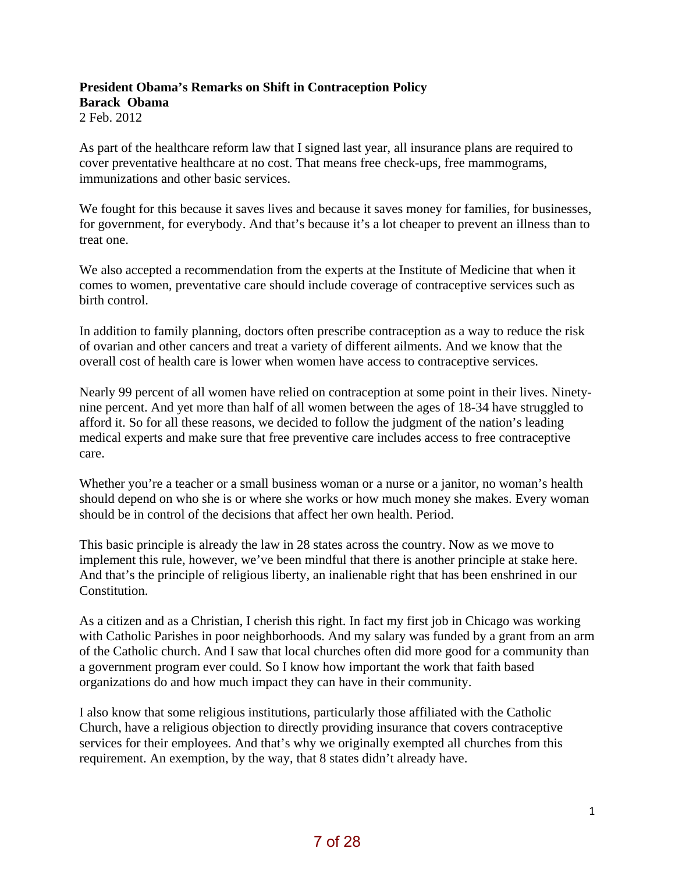#### **President Obama's Remarks on Shift in Contraception Policy Barack Obama**

2 Feb. 2012

As part of the healthcare reform law that I signed last year, all insurance plans are required to cover preventative healthcare at no cost. That means free check-ups, free mammograms, immunizations and other basic services.

We fought for this because it saves lives and because it saves money for families, for businesses, for government, for everybody. And that's because it's a lot cheaper to prevent an illness than to treat one.

We also accepted a recommendation from the experts at the Institute of Medicine that when it comes to women, preventative care should include coverage of contraceptive services such as birth control.

In addition to family planning, doctors often prescribe contraception as a way to reduce the risk of ovarian and other cancers and treat a variety of different ailments. And we know that the overall cost of health care is lower when women have access to contraceptive services.

Nearly 99 percent of all women have relied on contraception at some point in their lives. Ninetynine percent. And yet more than half of all women between the ages of 18-34 have struggled to afford it. So for all these reasons, we decided to follow the judgment of the nation's leading medical experts and make sure that free preventive care includes access to free contraceptive care.

Whether you're a teacher or a small business woman or a nurse or a janitor, no woman's health should depend on who she is or where she works or how much money she makes. Every woman should be in control of the decisions that affect her own health. Period.

This basic principle is already the law in 28 states across the country. Now as we move to implement this rule, however, we've been mindful that there is another principle at stake here. And that's the principle of religious liberty, an inalienable right that has been enshrined in our Constitution.

As a citizen and as a Christian, I cherish this right. In fact my first job in Chicago was working with Catholic Parishes in poor neighborhoods. And my salary was funded by a grant from an arm of the Catholic church. And I saw that local churches often did more good for a community than a government program ever could. So I know how important the work that faith based organizations do and how much impact they can have in their community.

I also know that some religious institutions, particularly those affiliated with the Catholic Church, have a religious objection to directly providing insurance that covers contraceptive services for their employees. And that's why we originally exempted all churches from this requirement. An exemption, by the way, that 8 states didn't already have.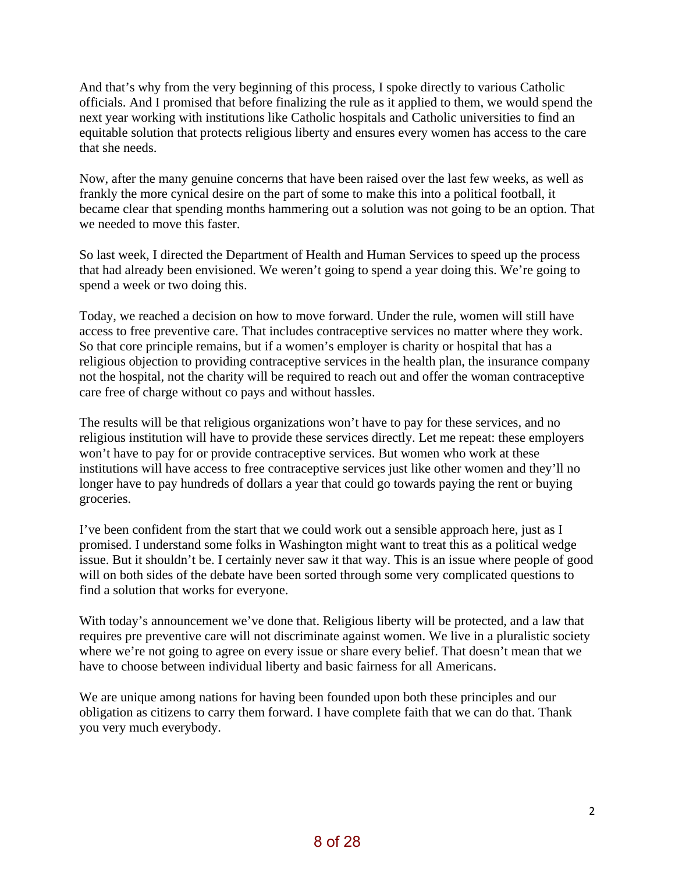And that's why from the very beginning of this process, I spoke directly to various Catholic officials. And I promised that before finalizing the rule as it applied to them, we would spend the next year working with institutions like Catholic hospitals and Catholic universities to find an equitable solution that protects religious liberty and ensures every women has access to the care that she needs.

Now, after the many genuine concerns that have been raised over the last few weeks, as well as frankly the more cynical desire on the part of some to make this into a political football, it became clear that spending months hammering out a solution was not going to be an option. That we needed to move this faster.

So last week, I directed the Department of Health and Human Services to speed up the process that had already been envisioned. We weren't going to spend a year doing this. We're going to spend a week or two doing this.

Today, we reached a decision on how to move forward. Under the rule, women will still have access to free preventive care. That includes contraceptive services no matter where they work. So that core principle remains, but if a women's employer is charity or hospital that has a religious objection to providing contraceptive services in the health plan, the insurance company not the hospital, not the charity will be required to reach out and offer the woman contraceptive care free of charge without co pays and without hassles.

The results will be that religious organizations won't have to pay for these services, and no religious institution will have to provide these services directly. Let me repeat: these employers won't have to pay for or provide contraceptive services. But women who work at these institutions will have access to free contraceptive services just like other women and they'll no longer have to pay hundreds of dollars a year that could go towards paying the rent or buying groceries.

I've been confident from the start that we could work out a sensible approach here, just as I promised. I understand some folks in Washington might want to treat this as a political wedge issue. But it shouldn't be. I certainly never saw it that way. This is an issue where people of good will on both sides of the debate have been sorted through some very complicated questions to find a solution that works for everyone.

With today's announcement we've done that. Religious liberty will be protected, and a law that requires pre preventive care will not discriminate against women. We live in a pluralistic society where we're not going to agree on every issue or share every belief. That doesn't mean that we have to choose between individual liberty and basic fairness for all Americans.

We are unique among nations for having been founded upon both these principles and our obligation as citizens to carry them forward. I have complete faith that we can do that. Thank you very much everybody.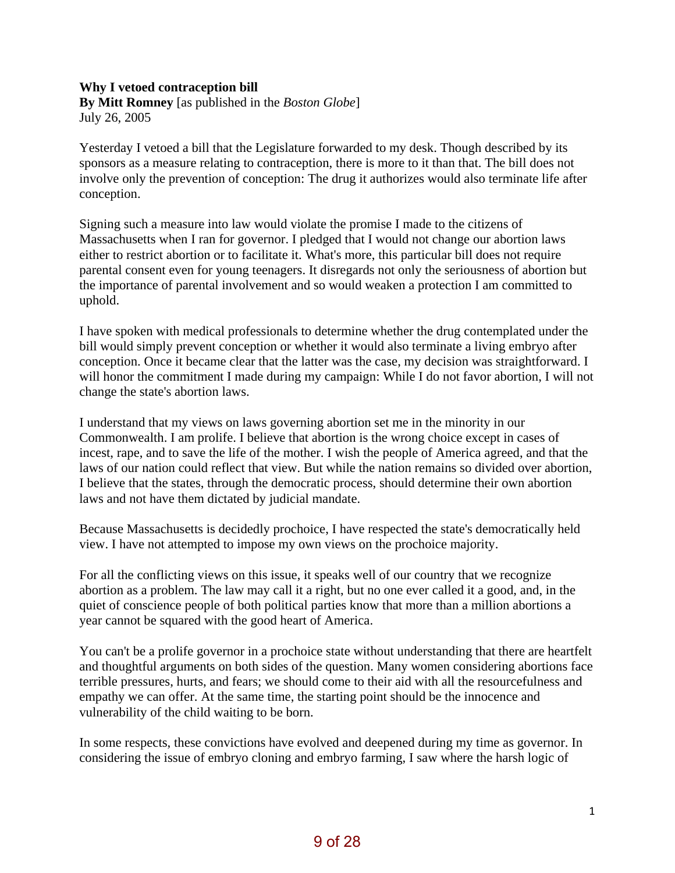#### **Why I vetoed contraception bill**

**By Mitt Romney** [as published in the *Boston Globe*] July 26, 2005

Yesterday I vetoed a bill that the Legislature forwarded to my desk. Though described by its sponsors as a measure relating to contraception, there is more to it than that. The bill does not involve only the prevention of conception: The drug it authorizes would also terminate life after conception.

Signing such a measure into law would violate the promise I made to the citizens of Massachusetts when I ran for governor. I pledged that I would not change our abortion laws either to restrict abortion or to facilitate it. What's more, this particular bill does not require parental consent even for young teenagers. It disregards not only the seriousness of abortion but the importance of parental involvement and so would weaken a protection I am committed to uphold.

I have spoken with medical professionals to determine whether the drug contemplated under the bill would simply prevent conception or whether it would also terminate a living embryo after conception. Once it became clear that the latter was the case, my decision was straightforward. I will honor the commitment I made during my campaign: While I do not favor abortion, I will not change the state's abortion laws.

I understand that my views on laws governing abortion set me in the minority in our Commonwealth. I am prolife. I believe that abortion is the wrong choice except in cases of incest, rape, and to save the life of the mother. I wish the people of America agreed, and that the laws of our nation could reflect that view. But while the nation remains so divided over abortion, I believe that the states, through the democratic process, should determine their own abortion laws and not have them dictated by judicial mandate.

Because Massachusetts is decidedly prochoice, I have respected the state's democratically held view. I have not attempted to impose my own views on the prochoice majority.

For all the conflicting views on this issue, it speaks well of our country that we recognize abortion as a problem. The law may call it a right, but no one ever called it a good, and, in the quiet of conscience people of both political parties know that more than a million abortions a year cannot be squared with the good heart of America.

You can't be a prolife governor in a prochoice state without understanding that there are heartfelt and thoughtful arguments on both sides of the question. Many women considering abortions face terrible pressures, hurts, and fears; we should come to their aid with all the resourcefulness and empathy we can offer. At the same time, the starting point should be the innocence and vulnerability of the child waiting to be born.

In some respects, these convictions have evolved and deepened during my time as governor. In considering the issue of embryo cloning and embryo farming, I saw where the harsh logic of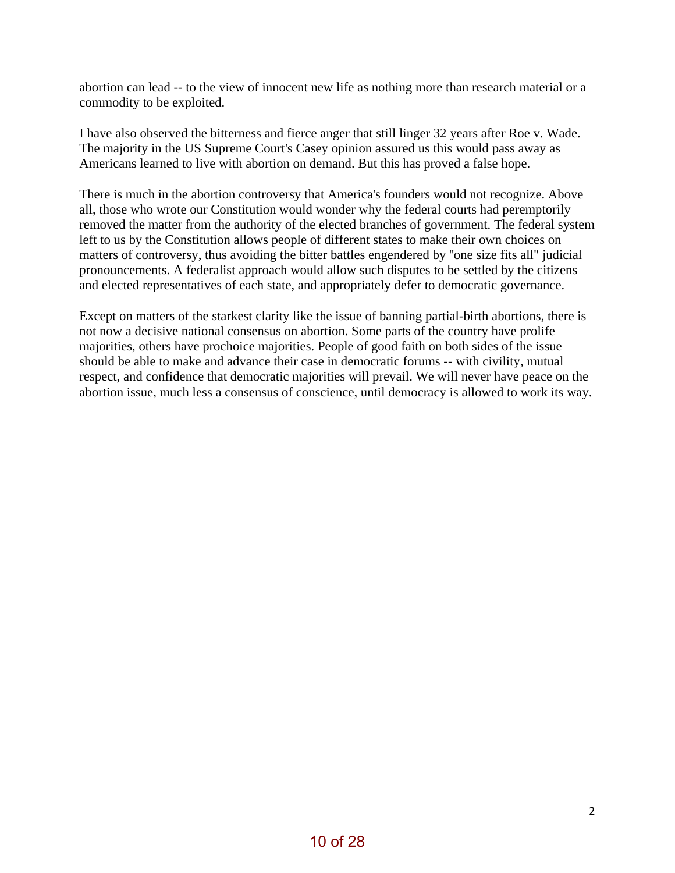abortion can lead -- to the view of innocent new life as nothing more than research material or a commodity to be exploited.

I have also observed the bitterness and fierce anger that still linger 32 years after Roe v. Wade. The majority in the US Supreme Court's Casey opinion assured us this would pass away as Americans learned to live with abortion on demand. But this has proved a false hope.

There is much in the abortion controversy that America's founders would not recognize. Above all, those who wrote our Constitution would wonder why the federal courts had peremptorily removed the matter from the authority of the elected branches of government. The federal system left to us by the Constitution allows people of different states to make their own choices on matters of controversy, thus avoiding the bitter battles engendered by ''one size fits all" judicial pronouncements. A federalist approach would allow such disputes to be settled by the citizens and elected representatives of each state, and appropriately defer to democratic governance.

Except on matters of the starkest clarity like the issue of banning partial-birth abortions, there is not now a decisive national consensus on abortion. Some parts of the country have prolife majorities, others have prochoice majorities. People of good faith on both sides of the issue should be able to make and advance their case in democratic forums -- with civility, mutual respect, and confidence that democratic majorities will prevail. We will never have peace on the abortion issue, much less a consensus of conscience, until democracy is allowed to work its way.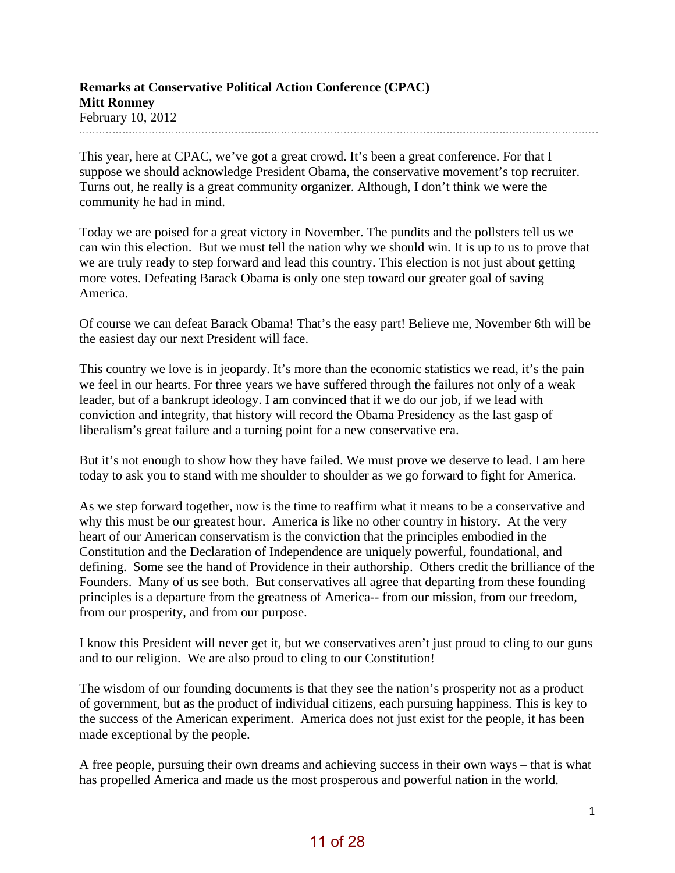#### **Remarks at Conservative Political Action Conference (CPAC) Mitt Romney** February 10, 2012

This year, here at CPAC, we've got a great crowd. It's been a great conference. For that I suppose we should acknowledge President Obama, the conservative movement's top recruiter. Turns out, he really is a great community organizer. Although, I don't think we were the community he had in mind.

Today we are poised for a great victory in November. The pundits and the pollsters tell us we can win this election. But we must tell the nation why we should win. It is up to us to prove that we are truly ready to step forward and lead this country. This election is not just about getting more votes. Defeating Barack Obama is only one step toward our greater goal of saving America.

Of course we can defeat Barack Obama! That's the easy part! Believe me, November 6th will be the easiest day our next President will face.

This country we love is in jeopardy. It's more than the economic statistics we read, it's the pain we feel in our hearts. For three years we have suffered through the failures not only of a weak leader, but of a bankrupt ideology. I am convinced that if we do our job, if we lead with conviction and integrity, that history will record the Obama Presidency as the last gasp of liberalism's great failure and a turning point for a new conservative era.

But it's not enough to show how they have failed. We must prove we deserve to lead. I am here today to ask you to stand with me shoulder to shoulder as we go forward to fight for America.

As we step forward together, now is the time to reaffirm what it means to be a conservative and why this must be our greatest hour. America is like no other country in history. At the very heart of our American conservatism is the conviction that the principles embodied in the Constitution and the Declaration of Independence are uniquely powerful, foundational, and defining. Some see the hand of Providence in their authorship. Others credit the brilliance of the Founders. Many of us see both. But conservatives all agree that departing from these founding principles is a departure from the greatness of America-- from our mission, from our freedom, from our prosperity, and from our purpose.

I know this President will never get it, but we conservatives aren't just proud to cling to our guns and to our religion. We are also proud to cling to our Constitution!

The wisdom of our founding documents is that they see the nation's prosperity not as a product of government, but as the product of individual citizens, each pursuing happiness. This is key to the success of the American experiment. America does not just exist for the people, it has been made exceptional by the people.

A free people, pursuing their own dreams and achieving success in their own ways – that is what has propelled America and made us the most prosperous and powerful nation in the world.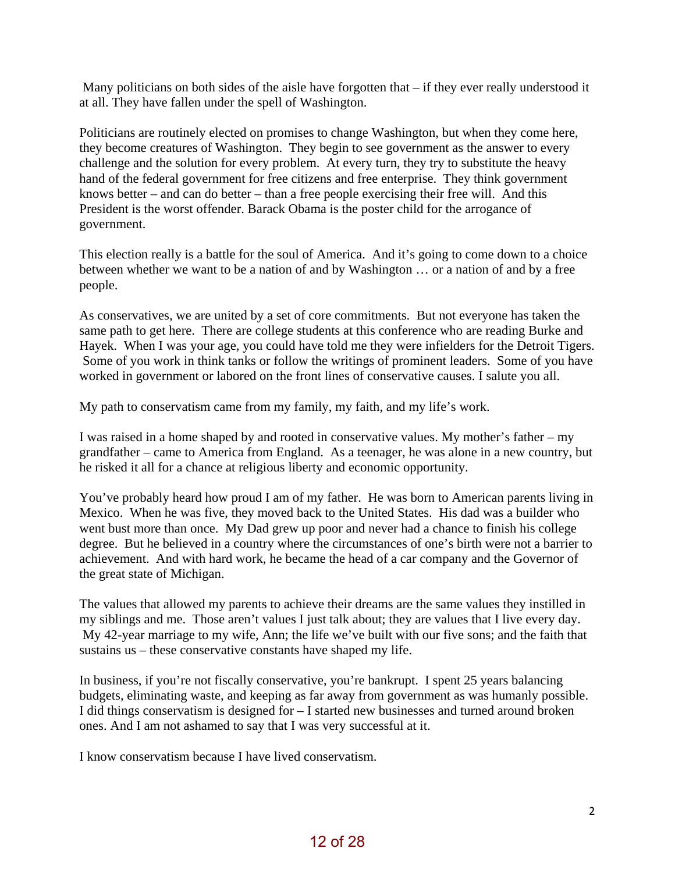Many politicians on both sides of the aisle have forgotten that – if they ever really understood it at all. They have fallen under the spell of Washington.

Politicians are routinely elected on promises to change Washington, but when they come here, they become creatures of Washington. They begin to see government as the answer to every challenge and the solution for every problem. At every turn, they try to substitute the heavy hand of the federal government for free citizens and free enterprise. They think government knows better – and can do better – than a free people exercising their free will. And this President is the worst offender. Barack Obama is the poster child for the arrogance of government.

This election really is a battle for the soul of America. And it's going to come down to a choice between whether we want to be a nation of and by Washington … or a nation of and by a free people.

As conservatives, we are united by a set of core commitments. But not everyone has taken the same path to get here. There are college students at this conference who are reading Burke and Hayek. When I was your age, you could have told me they were infielders for the Detroit Tigers. Some of you work in think tanks or follow the writings of prominent leaders. Some of you have worked in government or labored on the front lines of conservative causes. I salute you all.

My path to conservatism came from my family, my faith, and my life's work.

I was raised in a home shaped by and rooted in conservative values. My mother's father – my grandfather – came to America from England. As a teenager, he was alone in a new country, but he risked it all for a chance at religious liberty and economic opportunity.

You've probably heard how proud I am of my father. He was born to American parents living in Mexico. When he was five, they moved back to the United States. His dad was a builder who went bust more than once. My Dad grew up poor and never had a chance to finish his college degree. But he believed in a country where the circumstances of one's birth were not a barrier to achievement. And with hard work, he became the head of a car company and the Governor of the great state of Michigan.

The values that allowed my parents to achieve their dreams are the same values they instilled in my siblings and me. Those aren't values I just talk about; they are values that I live every day. My 42-year marriage to my wife, Ann; the life we've built with our five sons; and the faith that sustains us – these conservative constants have shaped my life.

In business, if you're not fiscally conservative, you're bankrupt. I spent 25 years balancing budgets, eliminating waste, and keeping as far away from government as was humanly possible. I did things conservatism is designed for – I started new businesses and turned around broken ones. And I am not ashamed to say that I was very successful at it.

I know conservatism because I have lived conservatism.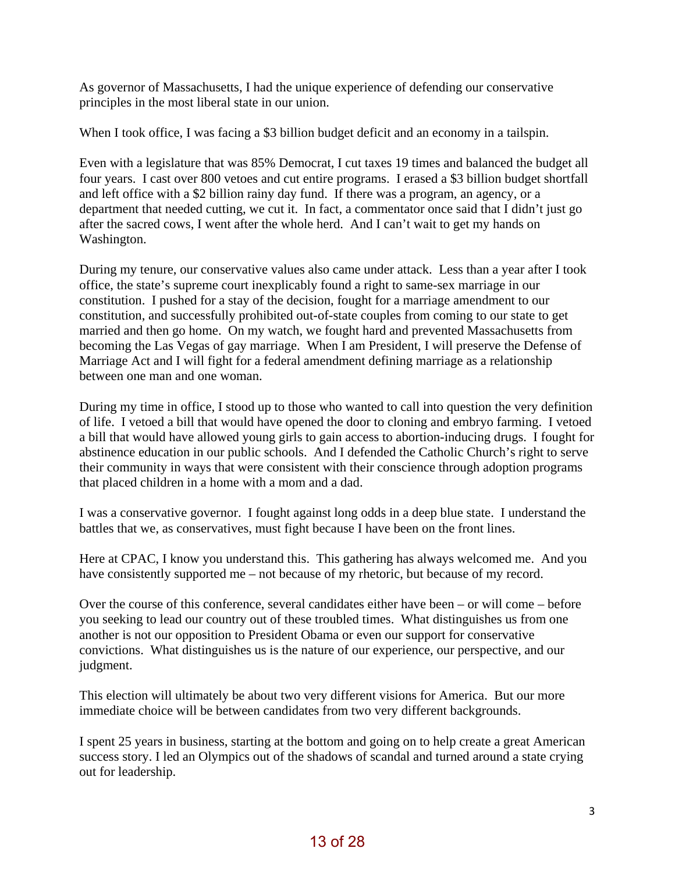As governor of Massachusetts, I had the unique experience of defending our conservative principles in the most liberal state in our union.

When I took office, I was facing a \$3 billion budget deficit and an economy in a tailspin.

Even with a legislature that was 85% Democrat, I cut taxes 19 times and balanced the budget all four years. I cast over 800 vetoes and cut entire programs. I erased a \$3 billion budget shortfall and left office with a \$2 billion rainy day fund. If there was a program, an agency, or a department that needed cutting, we cut it. In fact, a commentator once said that I didn't just go after the sacred cows, I went after the whole herd. And I can't wait to get my hands on Washington.

During my tenure, our conservative values also came under attack. Less than a year after I took office, the state's supreme court inexplicably found a right to same-sex marriage in our constitution. I pushed for a stay of the decision, fought for a marriage amendment to our constitution, and successfully prohibited out-of-state couples from coming to our state to get married and then go home. On my watch, we fought hard and prevented Massachusetts from becoming the Las Vegas of gay marriage. When I am President, I will preserve the Defense of Marriage Act and I will fight for a federal amendment defining marriage as a relationship between one man and one woman.

During my time in office, I stood up to those who wanted to call into question the very definition of life. I vetoed a bill that would have opened the door to cloning and embryo farming. I vetoed a bill that would have allowed young girls to gain access to abortion-inducing drugs. I fought for abstinence education in our public schools. And I defended the Catholic Church's right to serve their community in ways that were consistent with their conscience through adoption programs that placed children in a home with a mom and a dad.

I was a conservative governor. I fought against long odds in a deep blue state. I understand the battles that we, as conservatives, must fight because I have been on the front lines.

Here at CPAC, I know you understand this. This gathering has always welcomed me. And you have consistently supported me – not because of my rhetoric, but because of my record.

Over the course of this conference, several candidates either have been – or will come – before you seeking to lead our country out of these troubled times. What distinguishes us from one another is not our opposition to President Obama or even our support for conservative convictions. What distinguishes us is the nature of our experience, our perspective, and our judgment.

This election will ultimately be about two very different visions for America. But our more immediate choice will be between candidates from two very different backgrounds.

I spent 25 years in business, starting at the bottom and going on to help create a great American success story. I led an Olympics out of the shadows of scandal and turned around a state crying out for leadership.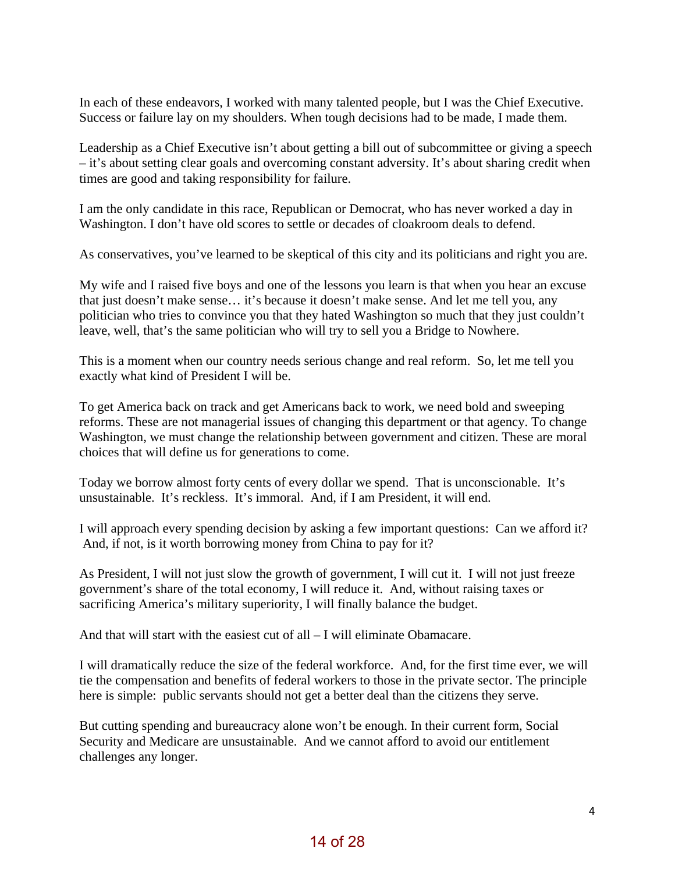In each of these endeavors, I worked with many talented people, but I was the Chief Executive. Success or failure lay on my shoulders. When tough decisions had to be made, I made them.

Leadership as a Chief Executive isn't about getting a bill out of subcommittee or giving a speech – it's about setting clear goals and overcoming constant adversity. It's about sharing credit when times are good and taking responsibility for failure.

I am the only candidate in this race, Republican or Democrat, who has never worked a day in Washington. I don't have old scores to settle or decades of cloakroom deals to defend.

As conservatives, you've learned to be skeptical of this city and its politicians and right you are.

My wife and I raised five boys and one of the lessons you learn is that when you hear an excuse that just doesn't make sense… it's because it doesn't make sense. And let me tell you, any politician who tries to convince you that they hated Washington so much that they just couldn't leave, well, that's the same politician who will try to sell you a Bridge to Nowhere.

This is a moment when our country needs serious change and real reform. So, let me tell you exactly what kind of President I will be.

To get America back on track and get Americans back to work, we need bold and sweeping reforms. These are not managerial issues of changing this department or that agency. To change Washington, we must change the relationship between government and citizen. These are moral choices that will define us for generations to come.

Today we borrow almost forty cents of every dollar we spend. That is unconscionable. It's unsustainable. It's reckless. It's immoral. And, if I am President, it will end.

I will approach every spending decision by asking a few important questions: Can we afford it? And, if not, is it worth borrowing money from China to pay for it?

As President, I will not just slow the growth of government, I will cut it. I will not just freeze government's share of the total economy, I will reduce it. And, without raising taxes or sacrificing America's military superiority, I will finally balance the budget.

And that will start with the easiest cut of all – I will eliminate Obamacare.

I will dramatically reduce the size of the federal workforce. And, for the first time ever, we will tie the compensation and benefits of federal workers to those in the private sector. The principle here is simple: public servants should not get a better deal than the citizens they serve.

But cutting spending and bureaucracy alone won't be enough. In their current form, Social Security and Medicare are unsustainable. And we cannot afford to avoid our entitlement challenges any longer.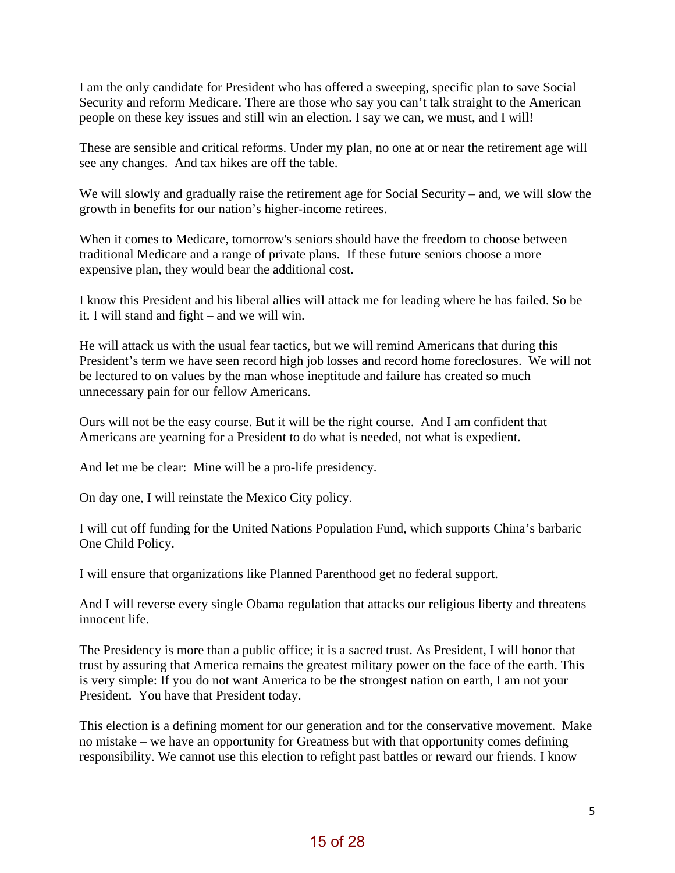I am the only candidate for President who has offered a sweeping, specific plan to save Social Security and reform Medicare. There are those who say you can't talk straight to the American people on these key issues and still win an election. I say we can, we must, and I will!

These are sensible and critical reforms. Under my plan, no one at or near the retirement age will see any changes. And tax hikes are off the table.

We will slowly and gradually raise the retirement age for Social Security – and, we will slow the growth in benefits for our nation's higher-income retirees.

When it comes to Medicare, tomorrow's seniors should have the freedom to choose between traditional Medicare and a range of private plans. If these future seniors choose a more expensive plan, they would bear the additional cost.

I know this President and his liberal allies will attack me for leading where he has failed. So be it. I will stand and fight – and we will win.

He will attack us with the usual fear tactics, but we will remind Americans that during this President's term we have seen record high job losses and record home foreclosures. We will not be lectured to on values by the man whose ineptitude and failure has created so much unnecessary pain for our fellow Americans.

Ours will not be the easy course. But it will be the right course. And I am confident that Americans are yearning for a President to do what is needed, not what is expedient.

And let me be clear: Mine will be a pro-life presidency.

On day one, I will reinstate the Mexico City policy.

I will cut off funding for the United Nations Population Fund, which supports China's barbaric One Child Policy.

I will ensure that organizations like Planned Parenthood get no federal support.

And I will reverse every single Obama regulation that attacks our religious liberty and threatens innocent life.

The Presidency is more than a public office; it is a sacred trust. As President, I will honor that trust by assuring that America remains the greatest military power on the face of the earth. This is very simple: If you do not want America to be the strongest nation on earth, I am not your President. You have that President today.

This election is a defining moment for our generation and for the conservative movement. Make no mistake – we have an opportunity for Greatness but with that opportunity comes defining responsibility. We cannot use this election to refight past battles or reward our friends. I know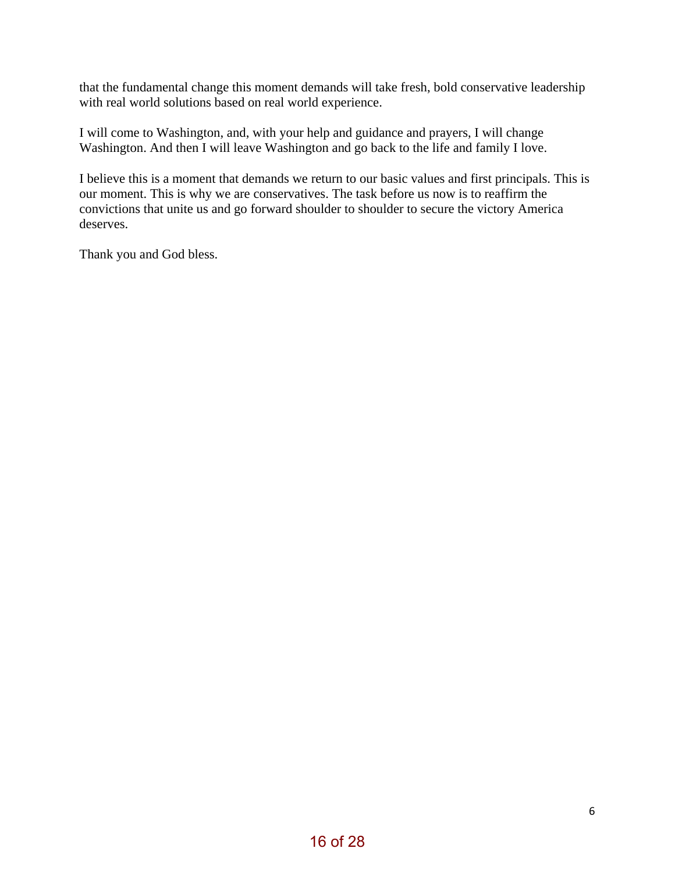that the fundamental change this moment demands will take fresh, bold conservative leadership with real world solutions based on real world experience.

I will come to Washington, and, with your help and guidance and prayers, I will change Washington. And then I will leave Washington and go back to the life and family I love.

I believe this is a moment that demands we return to our basic values and first principals. This is our moment. This is why we are conservatives. The task before us now is to reaffirm the convictions that unite us and go forward shoulder to shoulder to secure the victory America deserves.

Thank you and God bless.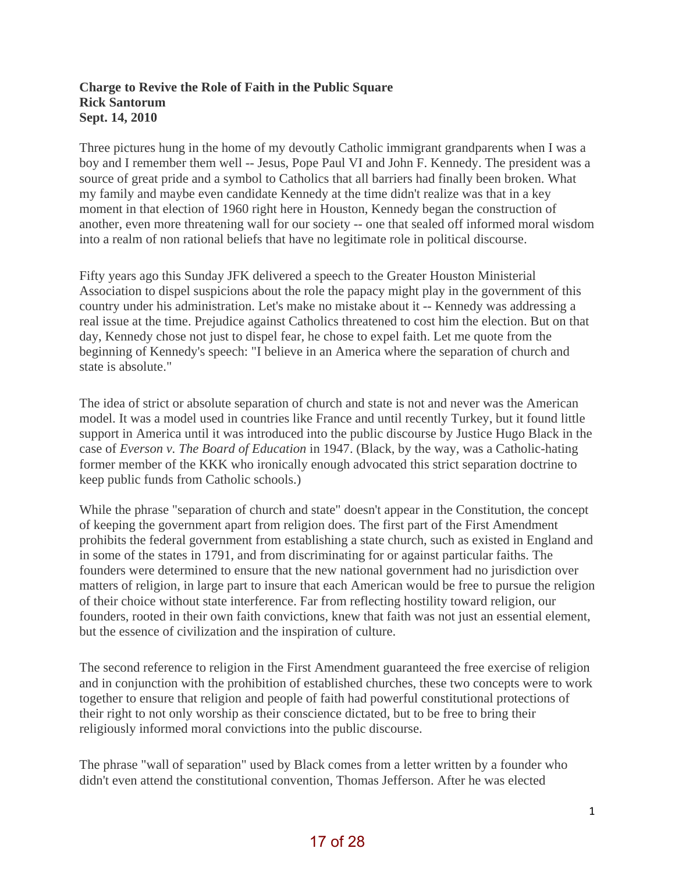#### **Charge to Revive the Role of Faith in the Public Square Rick Santorum Sept. 14, 2010**

Three pictures hung in the home of my devoutly Catholic immigrant grandparents when I was a boy and I remember them well -- Jesus, Pope Paul VI and John F. Kennedy. The president was a source of great pride and a symbol to Catholics that all barriers had finally been broken. What my family and maybe even candidate Kennedy at the time didn't realize was that in a key moment in that election of 1960 right here in Houston, Kennedy began the construction of another, even more threatening wall for our society -- one that sealed off informed moral wisdom into a realm of non rational beliefs that have no legitimate role in political discourse.

Fifty years ago this Sunday JFK delivered a speech to the Greater Houston Ministerial Association to dispel suspicions about the role the papacy might play in the government of this country under his administration. Let's make no mistake about it -- Kennedy was addressing a real issue at the time. Prejudice against Catholics threatened to cost him the election. But on that day, Kennedy chose not just to dispel fear, he chose to expel faith. Let me quote from the beginning of Kennedy's speech: "I believe in an America where the separation of church and state is absolute."

The idea of strict or absolute separation of church and state is not and never was the American model. It was a model used in countries like France and until recently Turkey, but it found little support in America until it was introduced into the public discourse by Justice Hugo Black in the case of *Everson v. The Board of Education* in 1947. (Black, by the way, was a Catholic-hating former member of the KKK who ironically enough advocated this strict separation doctrine to keep public funds from Catholic schools.)

While the phrase "separation of church and state" doesn't appear in the Constitution, the concept of keeping the government apart from religion does. The first part of the First Amendment prohibits the federal government from establishing a state church, such as existed in England and in some of the states in 1791, and from discriminating for or against particular faiths. The founders were determined to ensure that the new national government had no jurisdiction over matters of religion, in large part to insure that each American would be free to pursue the religion of their choice without state interference. Far from reflecting hostility toward religion, our founders, rooted in their own faith convictions, knew that faith was not just an essential element, but the essence of civilization and the inspiration of culture.

The second reference to religion in the First Amendment guaranteed the free exercise of religion and in conjunction with the prohibition of established churches, these two concepts were to work together to ensure that religion and people of faith had powerful constitutional protections of their right to not only worship as their conscience dictated, but to be free to bring their religiously informed moral convictions into the public discourse.

The phrase "wall of separation" used by Black comes from a letter written by a founder who didn't even attend the constitutional convention, Thomas Jefferson. After he was elected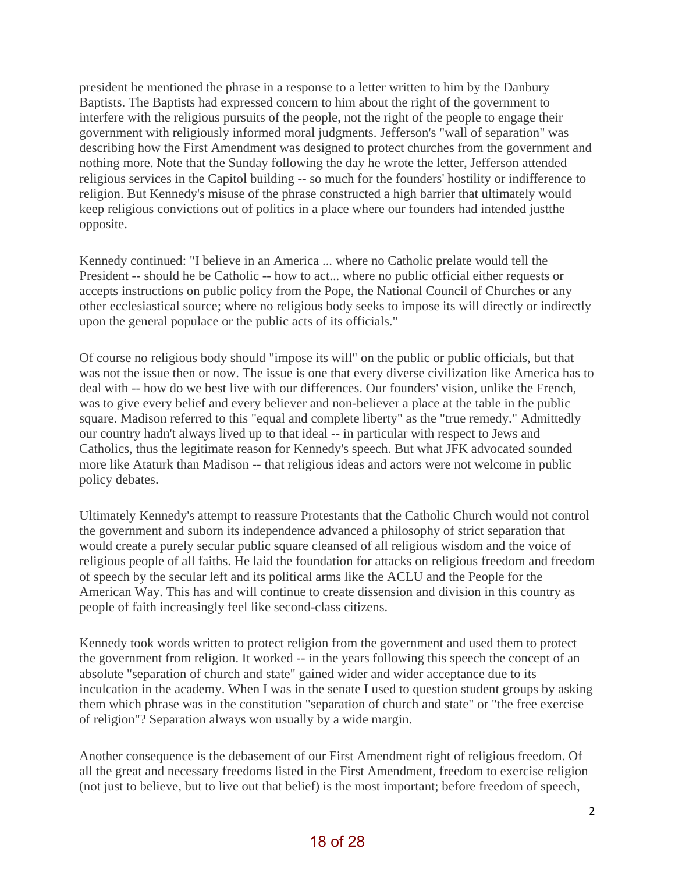president he mentioned the phrase in a response to a letter written to him by the Danbury Baptists. The Baptists had expressed concern to him about the right of the government to interfere with the religious pursuits of the people, not the right of the people to engage their government with religiously informed moral judgments. Jefferson's "wall of separation" was describing how the First Amendment was designed to protect churches from the government and nothing more. Note that the Sunday following the day he wrote the letter, Jefferson attended religious services in the Capitol building -- so much for the founders' hostility or indifference to religion. But Kennedy's misuse of the phrase constructed a high barrier that ultimately would keep religious convictions out of politics in a place where our founders had intended justthe opposite.

Kennedy continued: "I believe in an America ... where no Catholic prelate would tell the President -- should he be Catholic -- how to act... where no public official either requests or accepts instructions on public policy from the Pope, the National Council of Churches or any other ecclesiastical source; where no religious body seeks to impose its will directly or indirectly upon the general populace or the public acts of its officials."

Of course no religious body should "impose its will" on the public or public officials, but that was not the issue then or now. The issue is one that every diverse civilization like America has to deal with -- how do we best live with our differences. Our founders' vision, unlike the French, was to give every belief and every believer and non-believer a place at the table in the public square. Madison referred to this "equal and complete liberty" as the "true remedy." Admittedly our country hadn't always lived up to that ideal -- in particular with respect to Jews and Catholics, thus the legitimate reason for Kennedy's speech. But what JFK advocated sounded more like Ataturk than Madison -- that religious ideas and actors were not welcome in public policy debates.

Ultimately Kennedy's attempt to reassure Protestants that the Catholic Church would not control the government and suborn its independence advanced a philosophy of strict separation that would create a purely secular public square cleansed of all religious wisdom and the voice of religious people of all faiths. He laid the foundation for attacks on religious freedom and freedom of speech by the secular left and its political arms like the ACLU and the People for the American Way. This has and will continue to create dissension and division in this country as people of faith increasingly feel like second-class citizens.

Kennedy took words written to protect religion from the government and used them to protect the government from religion. It worked -- in the years following this speech the concept of an absolute "separation of church and state" gained wider and wider acceptance due to its inculcation in the academy. When I was in the senate I used to question student groups by asking them which phrase was in the constitution "separation of church and state" or "the free exercise of religion"? Separation always won usually by a wide margin.

Another consequence is the debasement of our First Amendment right of religious freedom. Of all the great and necessary freedoms listed in the First Amendment, freedom to exercise religion (not just to believe, but to live out that belief) is the most important; before freedom of speech,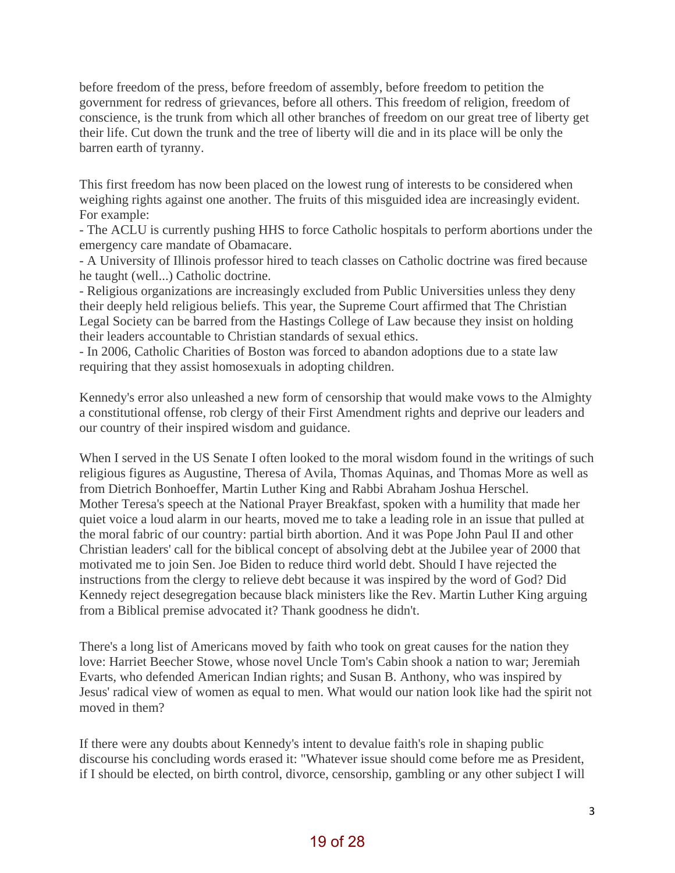before freedom of the press, before freedom of assembly, before freedom to petition the government for redress of grievances, before all others. This freedom of religion, freedom of conscience, is the trunk from which all other branches of freedom on our great tree of liberty get their life. Cut down the trunk and the tree of liberty will die and in its place will be only the barren earth of tyranny.

This first freedom has now been placed on the lowest rung of interests to be considered when weighing rights against one another. The fruits of this misguided idea are increasingly evident. For example:

- The ACLU is currently pushing HHS to force Catholic hospitals to perform abortions under the emergency care mandate of Obamacare.

- A University of Illinois professor hired to teach classes on Catholic doctrine was fired because he taught (well...) Catholic doctrine.

- Religious organizations are increasingly excluded from Public Universities unless they deny their deeply held religious beliefs. This year, the Supreme Court affirmed that The Christian Legal Society can be barred from the Hastings College of Law because they insist on holding their leaders accountable to Christian standards of sexual ethics.

- In 2006, Catholic Charities of Boston was forced to abandon adoptions due to a state law requiring that they assist homosexuals in adopting children.

Kennedy's error also unleashed a new form of censorship that would make vows to the Almighty a constitutional offense, rob clergy of their First Amendment rights and deprive our leaders and our country of their inspired wisdom and guidance.

When I served in the US Senate I often looked to the moral wisdom found in the writings of such religious figures as Augustine, Theresa of Avila, Thomas Aquinas, and Thomas More as well as from Dietrich Bonhoeffer, Martin Luther King and Rabbi Abraham Joshua Herschel. Mother Teresa's speech at the National Prayer Breakfast, spoken with a humility that made her quiet voice a loud alarm in our hearts, moved me to take a leading role in an issue that pulled at the moral fabric of our country: partial birth abortion. And it was Pope John Paul II and other Christian leaders' call for the biblical concept of absolving debt at the Jubilee year of 2000 that motivated me to join Sen. Joe Biden to reduce third world debt. Should I have rejected the instructions from the clergy to relieve debt because it was inspired by the word of God? Did Kennedy reject desegregation because black ministers like the Rev. Martin Luther King arguing from a Biblical premise advocated it? Thank goodness he didn't.

There's a long list of Americans moved by faith who took on great causes for the nation they love: Harriet Beecher Stowe, whose novel Uncle Tom's Cabin shook a nation to war; Jeremiah Evarts, who defended American Indian rights; and Susan B. Anthony, who was inspired by Jesus' radical view of women as equal to men. What would our nation look like had the spirit not moved in them?

If there were any doubts about Kennedy's intent to devalue faith's role in shaping public discourse his concluding words erased it: "Whatever issue should come before me as President, if I should be elected, on birth control, divorce, censorship, gambling or any other subject I will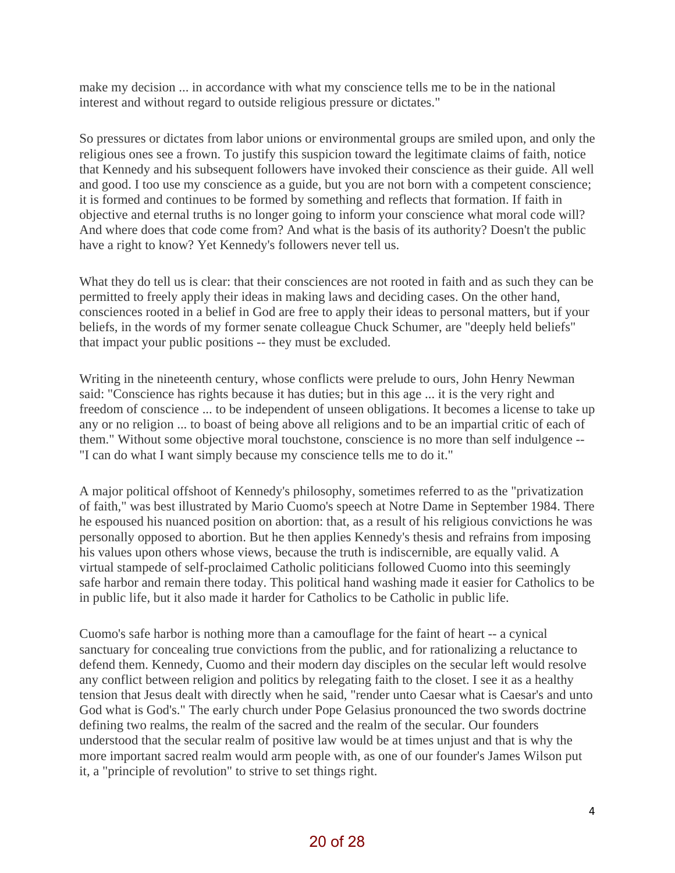make my decision ... in accordance with what my conscience tells me to be in the national interest and without regard to outside religious pressure or dictates."

So pressures or dictates from labor unions or environmental groups are smiled upon, and only the religious ones see a frown. To justify this suspicion toward the legitimate claims of faith, notice that Kennedy and his subsequent followers have invoked their conscience as their guide. All well and good. I too use my conscience as a guide, but you are not born with a competent conscience; it is formed and continues to be formed by something and reflects that formation. If faith in objective and eternal truths is no longer going to inform your conscience what moral code will? And where does that code come from? And what is the basis of its authority? Doesn't the public have a right to know? Yet Kennedy's followers never tell us.

What they do tell us is clear: that their consciences are not rooted in faith and as such they can be permitted to freely apply their ideas in making laws and deciding cases. On the other hand, consciences rooted in a belief in God are free to apply their ideas to personal matters, but if your beliefs, in the words of my former senate colleague Chuck Schumer, are "deeply held beliefs" that impact your public positions -- they must be excluded.

Writing in the nineteenth century, whose conflicts were prelude to ours, John Henry Newman said: "Conscience has rights because it has duties; but in this age ... it is the very right and freedom of conscience ... to be independent of unseen obligations. It becomes a license to take up any or no religion ... to boast of being above all religions and to be an impartial critic of each of them." Without some objective moral touchstone, conscience is no more than self indulgence -- "I can do what I want simply because my conscience tells me to do it."

A major political offshoot of Kennedy's philosophy, sometimes referred to as the "privatization of faith," was best illustrated by Mario Cuomo's speech at Notre Dame in September 1984. There he espoused his nuanced position on abortion: that, as a result of his religious convictions he was personally opposed to abortion. But he then applies Kennedy's thesis and refrains from imposing his values upon others whose views, because the truth is indiscernible, are equally valid. A virtual stampede of self-proclaimed Catholic politicians followed Cuomo into this seemingly safe harbor and remain there today. This political hand washing made it easier for Catholics to be in public life, but it also made it harder for Catholics to be Catholic in public life.

Cuomo's safe harbor is nothing more than a camouflage for the faint of heart -- a cynical sanctuary for concealing true convictions from the public, and for rationalizing a reluctance to defend them. Kennedy, Cuomo and their modern day disciples on the secular left would resolve any conflict between religion and politics by relegating faith to the closet. I see it as a healthy tension that Jesus dealt with directly when he said, "render unto Caesar what is Caesar's and unto God what is God's." The early church under Pope Gelasius pronounced the two swords doctrine defining two realms, the realm of the sacred and the realm of the secular. Our founders understood that the secular realm of positive law would be at times unjust and that is why the more important sacred realm would arm people with, as one of our founder's James Wilson put it, a "principle of revolution" to strive to set things right.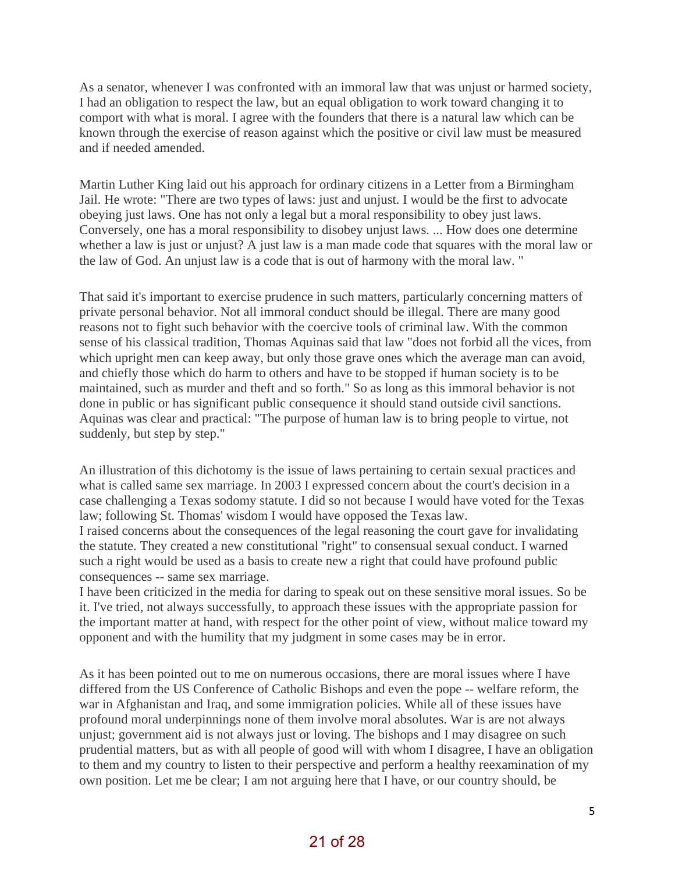As a senator, whenever I was confronted with an immoral law that was unjust or harmed society, I had an obligation to respect the law, but an equal obligation to work toward changing it to comport with what is moral. I agree with the founders that there is a natural law which can be known through the exercise of reason against which the positive or civil law must be measured and if needed amended.

Martin Luther King laid out his approach for ordinary citizens in a Letter from a Birmingham Jail. He wrote: "There are two types of laws: just and unjust. I would be the first to advocate obeying just laws. One has not only a legal but a moral responsibility to obey just laws. Conversely, one has a moral responsibility to disobey unjust laws. ... How does one determine whether a law is just or unjust? A just law is a man made code that squares with the moral law or the law of God. An unjust law is a code that is out of harmony with the moral law. "

That said it's important to exercise prudence in such matters, particularly concerning matters of private personal behavior. Not all immoral conduct should be illegal. There are many good reasons not to fight such behavior with the coercive tools of criminal law. With the common sense of his classical tradition, Thomas Aquinas said that law "does not forbid all the vices, from which upright men can keep away, but only those grave ones which the average man can avoid, and chiefly those which do harm to others and have to be stopped if human society is to be maintained, such as murder and theft and so forth." So as long as this immoral behavior is not done in public or has significant public consequence it should stand outside civil sanctions. Aquinas was clear and practical: "The purpose of human law is to bring people to virtue, not suddenly, but step by step."

An illustration of this dichotomy is the issue of laws pertaining to certain sexual practices and what is called same sex marriage. In 2003 I expressed concern about the court's decision in a case challenging a Texas sodomy statute. I did so not because I would have voted for the Texas law; following St. Thomas' wisdom I would have opposed the Texas law.

I raised concerns about the consequences of the legal reasoning the court gave for invalidating the statute. They created a new constitutional "right" to consensual sexual conduct. I warned such a right would be used as a basis to create new a right that could have profound public consequences -- same sex marriage.

I have been criticized in the media for daring to speak out on these sensitive moral issues. So be it. I've tried, not always successfully, to approach these issues with the appropriate passion for the important matter at hand, with respect for the other point of view, without malice toward my opponent and with the humility that my judgment in some cases may be in error.

As it has been pointed out to me on numerous occasions, there are moral issues where I have differed from the US Conference of Catholic Bishops and even the pope -- welfare reform, the war in Afghanistan and Iraq, and some immigration policies. While all of these issues have profound moral underpinnings none of them involve moral absolutes. War is are not always unjust; government aid is not always just or loving. The bishops and I may disagree on such prudential matters, but as with all people of good will with whom I disagree, I have an obligation to them and my country to listen to their perspective and perform a healthy reexamination of my own position. Let me be clear; I am not arguing here that I have, or our country should, be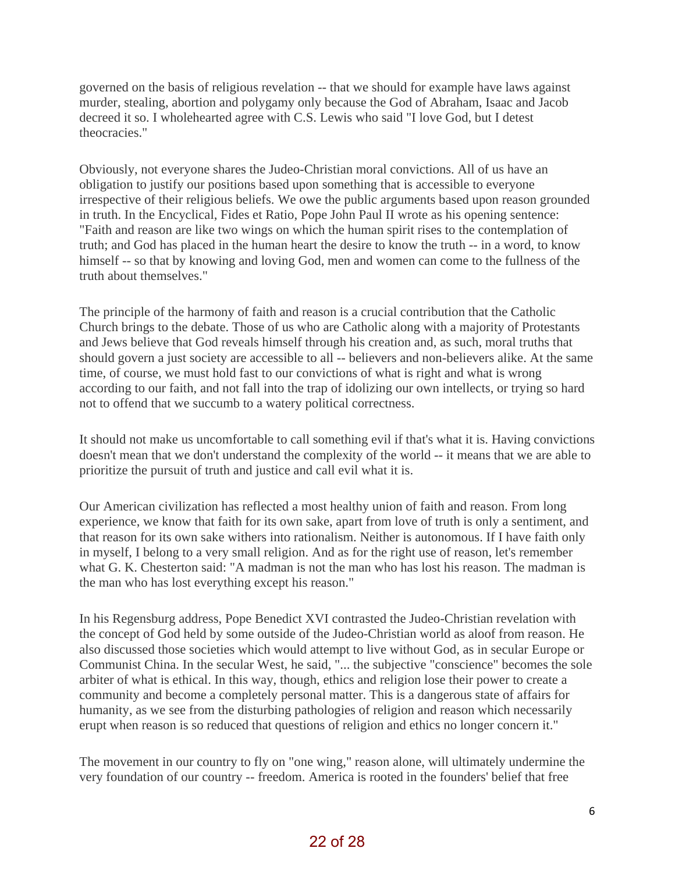governed on the basis of religious revelation -- that we should for example have laws against murder, stealing, abortion and polygamy only because the God of Abraham, Isaac and Jacob decreed it so. I wholehearted agree with C.S. Lewis who said "I love God, but I detest theocracies."

Obviously, not everyone shares the Judeo-Christian moral convictions. All of us have an obligation to justify our positions based upon something that is accessible to everyone irrespective of their religious beliefs. We owe the public arguments based upon reason grounded in truth. In the Encyclical, Fides et Ratio, Pope John Paul II wrote as his opening sentence: "Faith and reason are like two wings on which the human spirit rises to the contemplation of truth; and God has placed in the human heart the desire to know the truth -- in a word, to know himself -- so that by knowing and loving God, men and women can come to the fullness of the truth about themselves."

The principle of the harmony of faith and reason is a crucial contribution that the Catholic Church brings to the debate. Those of us who are Catholic along with a majority of Protestants and Jews believe that God reveals himself through his creation and, as such, moral truths that should govern a just society are accessible to all -- believers and non-believers alike. At the same time, of course, we must hold fast to our convictions of what is right and what is wrong according to our faith, and not fall into the trap of idolizing our own intellects, or trying so hard not to offend that we succumb to a watery political correctness.

It should not make us uncomfortable to call something evil if that's what it is. Having convictions doesn't mean that we don't understand the complexity of the world -- it means that we are able to prioritize the pursuit of truth and justice and call evil what it is.

Our American civilization has reflected a most healthy union of faith and reason. From long experience, we know that faith for its own sake, apart from love of truth is only a sentiment, and that reason for its own sake withers into rationalism. Neither is autonomous. If I have faith only in myself, I belong to a very small religion. And as for the right use of reason, let's remember what G. K. Chesterton said: "A madman is not the man who has lost his reason. The madman is the man who has lost everything except his reason."

In his Regensburg address, Pope Benedict XVI contrasted the Judeo-Christian revelation with the concept of God held by some outside of the Judeo-Christian world as aloof from reason. He also discussed those societies which would attempt to live without God, as in secular Europe or Communist China. In the secular West, he said, "... the subjective "conscience" becomes the sole arbiter of what is ethical. In this way, though, ethics and religion lose their power to create a community and become a completely personal matter. This is a dangerous state of affairs for humanity, as we see from the disturbing pathologies of religion and reason which necessarily erupt when reason is so reduced that questions of religion and ethics no longer concern it."

The movement in our country to fly on "one wing," reason alone, will ultimately undermine the very foundation of our country -- freedom. America is rooted in the founders' belief that free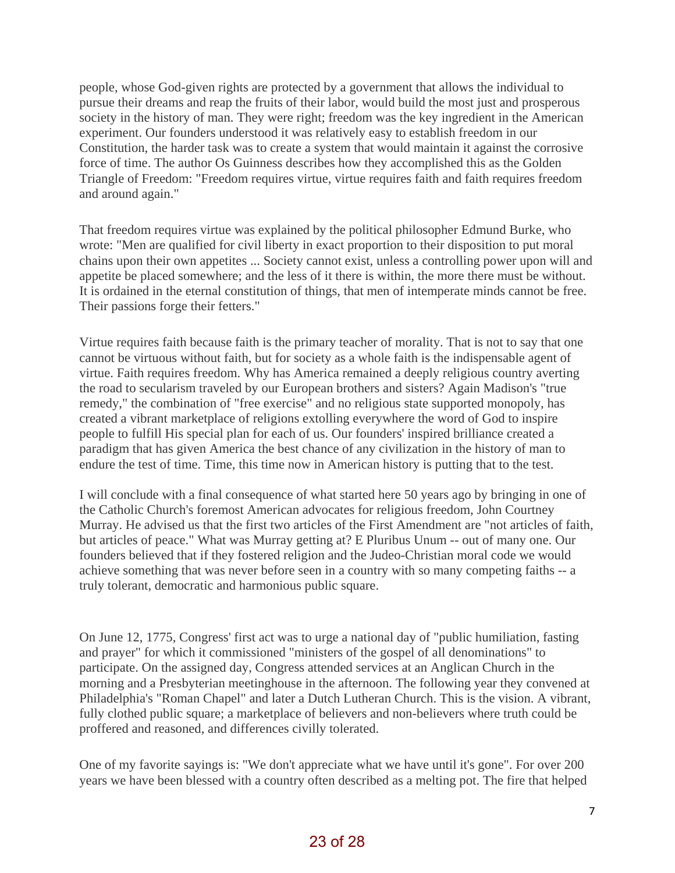people, whose God-given rights are protected by a government that allows the individual to pursue their dreams and reap the fruits of their labor, would build the most just and prosperous society in the history of man. They were right; freedom was the key ingredient in the American experiment. Our founders understood it was relatively easy to establish freedom in our Constitution, the harder task was to create a system that would maintain it against the corrosive force of time. The author Os Guinness describes how they accomplished this as the Golden Triangle of Freedom: "Freedom requires virtue, virtue requires faith and faith requires freedom and around again."

That freedom requires virtue was explained by the political philosopher Edmund Burke, who wrote: "Men are qualified for civil liberty in exact proportion to their disposition to put moral chains upon their own appetites ... Society cannot exist, unless a controlling power upon will and appetite be placed somewhere; and the less of it there is within, the more there must be without. It is ordained in the eternal constitution of things, that men of intemperate minds cannot be free. Their passions forge their fetters."

Virtue requires faith because faith is the primary teacher of morality. That is not to say that one cannot be virtuous without faith, but for society as a whole faith is the indispensable agent of virtue. Faith requires freedom. Why has America remained a deeply religious country averting the road to secularism traveled by our European brothers and sisters? Again Madison's "true remedy," the combination of "free exercise" and no religious state supported monopoly, has created a vibrant marketplace of religions extolling everywhere the word of God to inspire people to fulfill His special plan for each of us. Our founders' inspired brilliance created a paradigm that has given America the best chance of any civilization in the history of man to endure the test of time. Time, this time now in American history is putting that to the test.

I will conclude with a final consequence of what started here 50 years ago by bringing in one of the Catholic Church's foremost American advocates for religious freedom, John Courtney Murray. He advised us that the first two articles of the First Amendment are "not articles of faith, but articles of peace." What was Murray getting at? E Pluribus Unum -- out of many one. Our founders believed that if they fostered religion and the Judeo-Christian moral code we would achieve something that was never before seen in a country with so many competing faiths -- a truly tolerant, democratic and harmonious public square.

On June 12, 1775, Congress' first act was to urge a national day of "public humiliation, fasting and prayer" for which it commissioned "ministers of the gospel of all denominations" to participate. On the assigned day, Congress attended services at an Anglican Church in the morning and a Presbyterian meetinghouse in the afternoon. The following year they convened at Philadelphia's "Roman Chapel" and later a Dutch Lutheran Church. This is the vision. A vibrant, fully clothed public square; a marketplace of believers and non-believers where truth could be proffered and reasoned, and differences civilly tolerated.

One of my favorite sayings is: "We don't appreciate what we have until it's gone". For over 200 years we have been blessed with a country often described as a melting pot. The fire that helped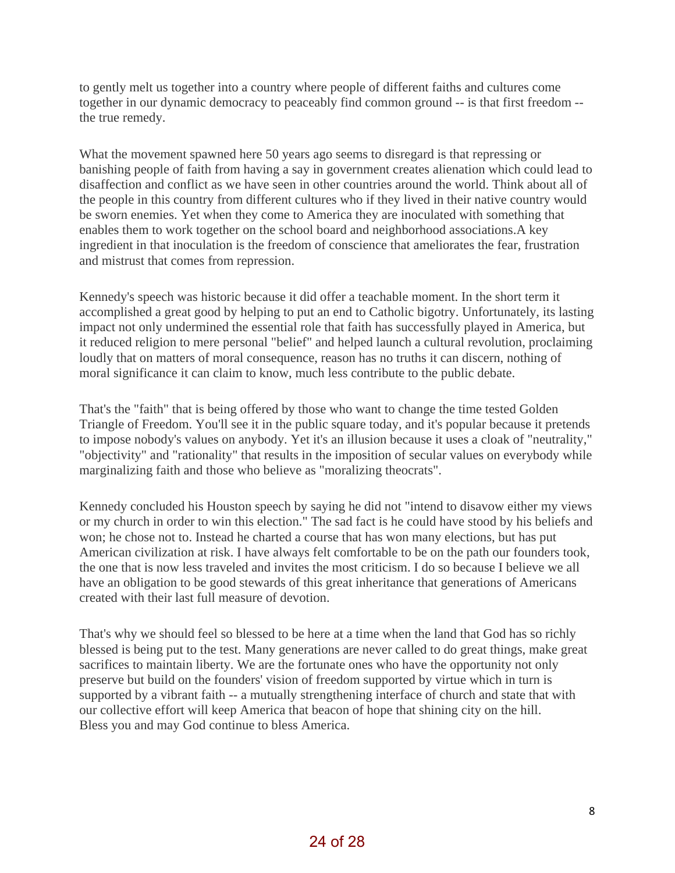to gently melt us together into a country where people of different faiths and cultures come together in our dynamic democracy to peaceably find common ground -- is that first freedom - the true remedy.

What the movement spawned here 50 years ago seems to disregard is that repressing or banishing people of faith from having a say in government creates alienation which could lead to disaffection and conflict as we have seen in other countries around the world. Think about all of the people in this country from different cultures who if they lived in their native country would be sworn enemies. Yet when they come to America they are inoculated with something that enables them to work together on the school board and neighborhood associations.A key ingredient in that inoculation is the freedom of conscience that ameliorates the fear, frustration and mistrust that comes from repression.

Kennedy's speech was historic because it did offer a teachable moment. In the short term it accomplished a great good by helping to put an end to Catholic bigotry. Unfortunately, its lasting impact not only undermined the essential role that faith has successfully played in America, but it reduced religion to mere personal "belief" and helped launch a cultural revolution, proclaiming loudly that on matters of moral consequence, reason has no truths it can discern, nothing of moral significance it can claim to know, much less contribute to the public debate.

That's the "faith" that is being offered by those who want to change the time tested Golden Triangle of Freedom. You'll see it in the public square today, and it's popular because it pretends to impose nobody's values on anybody. Yet it's an illusion because it uses a cloak of "neutrality," "objectivity" and "rationality" that results in the imposition of secular values on everybody while marginalizing faith and those who believe as "moralizing theocrats".

Kennedy concluded his Houston speech by saying he did not "intend to disavow either my views or my church in order to win this election." The sad fact is he could have stood by his beliefs and won; he chose not to. Instead he charted a course that has won many elections, but has put American civilization at risk. I have always felt comfortable to be on the path our founders took, the one that is now less traveled and invites the most criticism. I do so because I believe we all have an obligation to be good stewards of this great inheritance that generations of Americans created with their last full measure of devotion.

That's why we should feel so blessed to be here at a time when the land that God has so richly blessed is being put to the test. Many generations are never called to do great things, make great sacrifices to maintain liberty. We are the fortunate ones who have the opportunity not only preserve but build on the founders' vision of freedom supported by virtue which in turn is supported by a vibrant faith -- a mutually strengthening interface of church and state that with our collective effort will keep America that beacon of hope that shining city on the hill. Bless you and may God continue to bless America.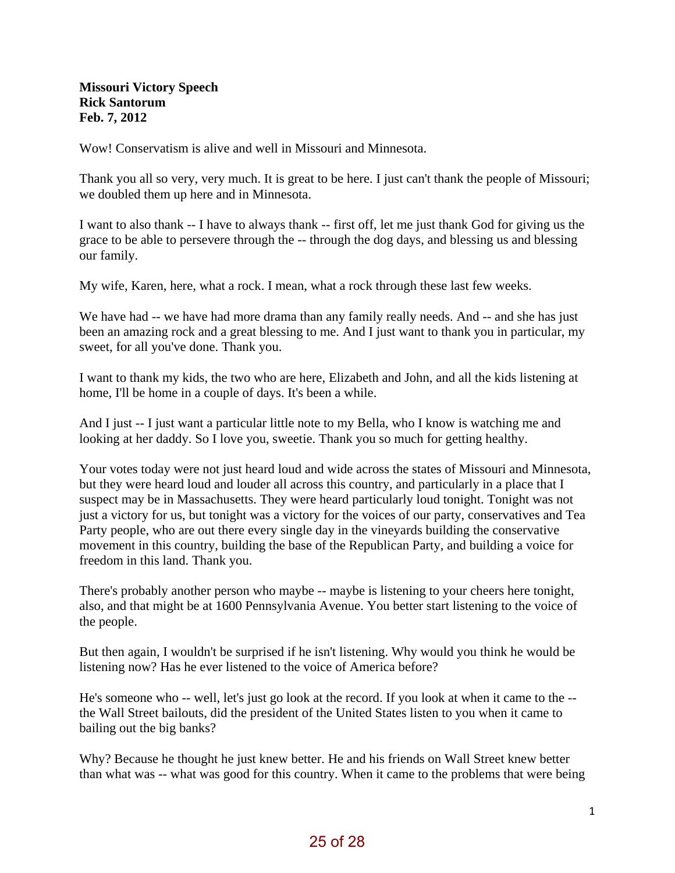#### **Missouri Victory Speech Rick Santorum Feb. 7, 2012**

Wow! Conservatism is alive and well in Missouri and Minnesota.

Thank you all so very, very much. It is great to be here. I just can't thank the people of Missouri; we doubled them up here and in Minnesota.

I want to also thank -- I have to always thank -- first off, let me just thank God for giving us the grace to be able to persevere through the -- through the dog days, and blessing us and blessing our family.

My wife, Karen, here, what a rock. I mean, what a rock through these last few weeks.

We have had -- we have had more drama than any family really needs. And -- and she has just been an amazing rock and a great blessing to me. And I just want to thank you in particular, my sweet, for all you've done. Thank you.

I want to thank my kids, the two who are here, Elizabeth and John, and all the kids listening at home, I'll be home in a couple of days. It's been a while.

And I just -- I just want a particular little note to my Bella, who I know is watching me and looking at her daddy. So I love you, sweetie. Thank you so much for getting healthy.

Your votes today were not just heard loud and wide across the states of Missouri and Minnesota, but they were heard loud and louder all across this country, and particularly in a place that I suspect may be in Massachusetts. They were heard particularly loud tonight. Tonight was not just a victory for us, but tonight was a victory for the voices of our party, conservatives and Tea Party people, who are out there every single day in the vineyards building the conservative movement in this country, building the base of the Republican Party, and building a voice for freedom in this land. Thank you.

There's probably another person who maybe -- maybe is listening to your cheers here tonight, also, and that might be at 1600 Pennsylvania Avenue. You better start listening to the voice of the people.

But then again, I wouldn't be surprised if he isn't listening. Why would you think he would be listening now? Has he ever listened to the voice of America before?

He's someone who -- well, let's just go look at the record. If you look at when it came to the - the Wall Street bailouts, did the president of the United States listen to you when it came to bailing out the big banks?

Why? Because he thought he just knew better. He and his friends on Wall Street knew better than what was -- what was good for this country. When it came to the problems that were being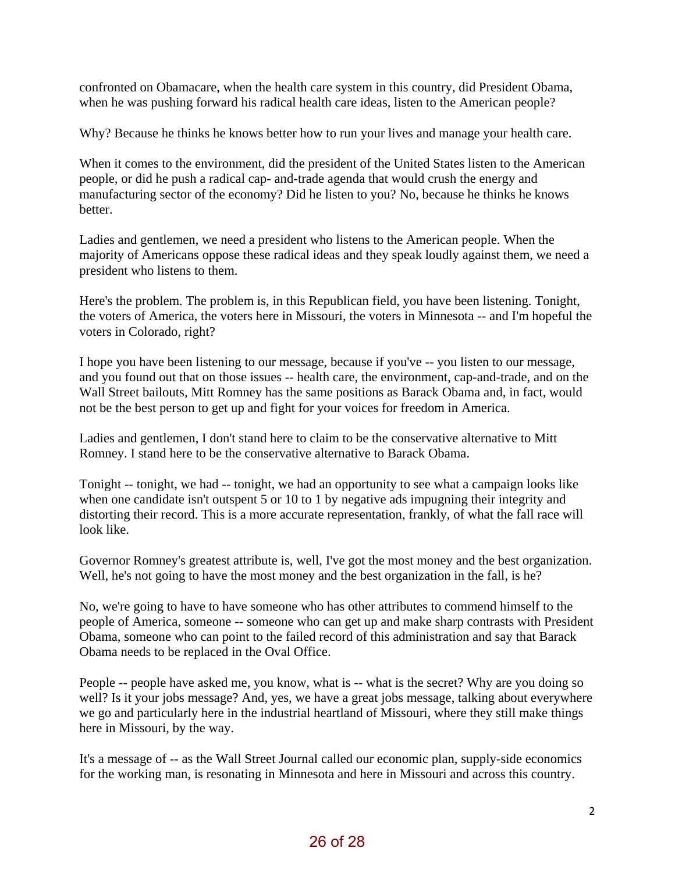confronted on Obamacare, when the health care system in this country, did President Obama, when he was pushing forward his radical health care ideas, listen to the American people?

Why? Because he thinks he knows better how to run your lives and manage your health care.

When it comes to the environment, did the president of the United States listen to the American people, or did he push a radical cap- and-trade agenda that would crush the energy and manufacturing sector of the economy? Did he listen to you? No, because he thinks he knows better.

Ladies and gentlemen, we need a president who listens to the American people. When the majority of Americans oppose these radical ideas and they speak loudly against them, we need a president who listens to them.

Here's the problem. The problem is, in this Republican field, you have been listening. Tonight, the voters of America, the voters here in Missouri, the voters in Minnesota -- and I'm hopeful the voters in Colorado, right?

I hope you have been listening to our message, because if you've -- you listen to our message, and you found out that on those issues -- health care, the environment, cap-and-trade, and on the Wall Street bailouts, Mitt Romney has the same positions as Barack Obama and, in fact, would not be the best person to get up and fight for your voices for freedom in America.

Ladies and gentlemen, I don't stand here to claim to be the conservative alternative to Mitt Romney. I stand here to be the conservative alternative to Barack Obama.

Tonight -- tonight, we had -- tonight, we had an opportunity to see what a campaign looks like when one candidate isn't outspent 5 or 10 to 1 by negative ads impugning their integrity and distorting their record. This is a more accurate representation, frankly, of what the fall race will look like.

Governor Romney's greatest attribute is, well, I've got the most money and the best organization. Well, he's not going to have the most money and the best organization in the fall, is he?

No, we're going to have to have someone who has other attributes to commend himself to the people of America, someone -- someone who can get up and make sharp contrasts with President Obama, someone who can point to the failed record of this administration and say that Barack Obama needs to be replaced in the Oval Office.

People -- people have asked me, you know, what is -- what is the secret? Why are you doing so well? Is it your jobs message? And, yes, we have a great jobs message, talking about everywhere we go and particularly here in the industrial heartland of Missouri, where they still make things here in Missouri, by the way.

It's a message of -- as the Wall Street Journal called our economic plan, supply-side economics for the working man, is resonating in Minnesota and here in Missouri and across this country.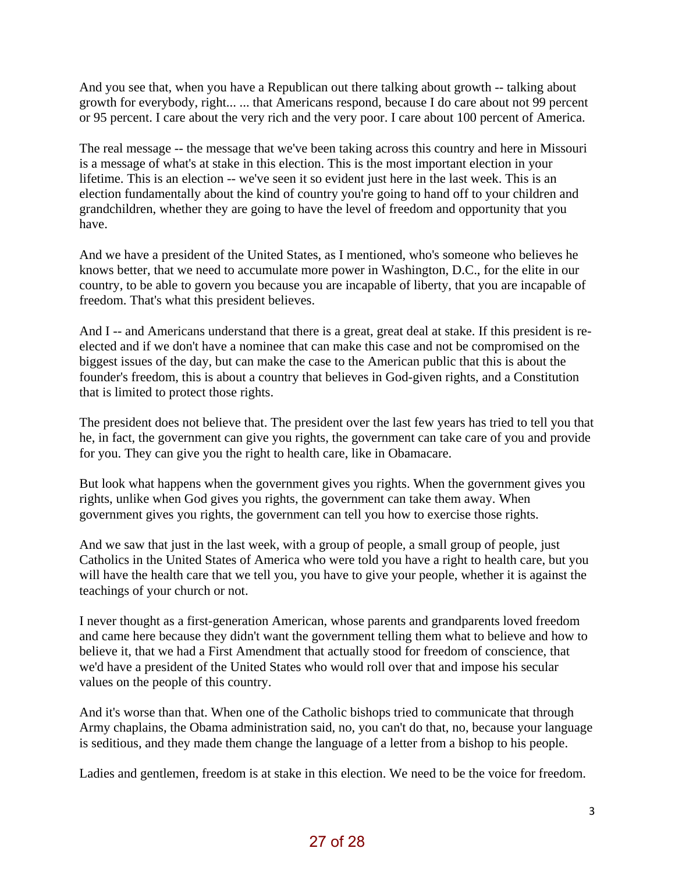And you see that, when you have a Republican out there talking about growth -- talking about growth for everybody, right... ... that Americans respond, because I do care about not 99 percent or 95 percent. I care about the very rich and the very poor. I care about 100 percent of America.

The real message -- the message that we've been taking across this country and here in Missouri is a message of what's at stake in this election. This is the most important election in your lifetime. This is an election -- we've seen it so evident just here in the last week. This is an election fundamentally about the kind of country you're going to hand off to your children and grandchildren, whether they are going to have the level of freedom and opportunity that you have.

And we have a president of the United States, as I mentioned, who's someone who believes he knows better, that we need to accumulate more power in Washington, D.C., for the elite in our country, to be able to govern you because you are incapable of liberty, that you are incapable of freedom. That's what this president believes.

And I -- and Americans understand that there is a great, great deal at stake. If this president is reelected and if we don't have a nominee that can make this case and not be compromised on the biggest issues of the day, but can make the case to the American public that this is about the founder's freedom, this is about a country that believes in God-given rights, and a Constitution that is limited to protect those rights.

The president does not believe that. The president over the last few years has tried to tell you that he, in fact, the government can give you rights, the government can take care of you and provide for you. They can give you the right to health care, like in Obamacare.

But look what happens when the government gives you rights. When the government gives you rights, unlike when God gives you rights, the government can take them away. When government gives you rights, the government can tell you how to exercise those rights.

And we saw that just in the last week, with a group of people, a small group of people, just Catholics in the United States of America who were told you have a right to health care, but you will have the health care that we tell you, you have to give your people, whether it is against the teachings of your church or not.

I never thought as a first-generation American, whose parents and grandparents loved freedom and came here because they didn't want the government telling them what to believe and how to believe it, that we had a First Amendment that actually stood for freedom of conscience, that we'd have a president of the United States who would roll over that and impose his secular values on the people of this country.

And it's worse than that. When one of the Catholic bishops tried to communicate that through Army chaplains, the Obama administration said, no, you can't do that, no, because your language is seditious, and they made them change the language of a letter from a bishop to his people.

Ladies and gentlemen, freedom is at stake in this election. We need to be the voice for freedom.